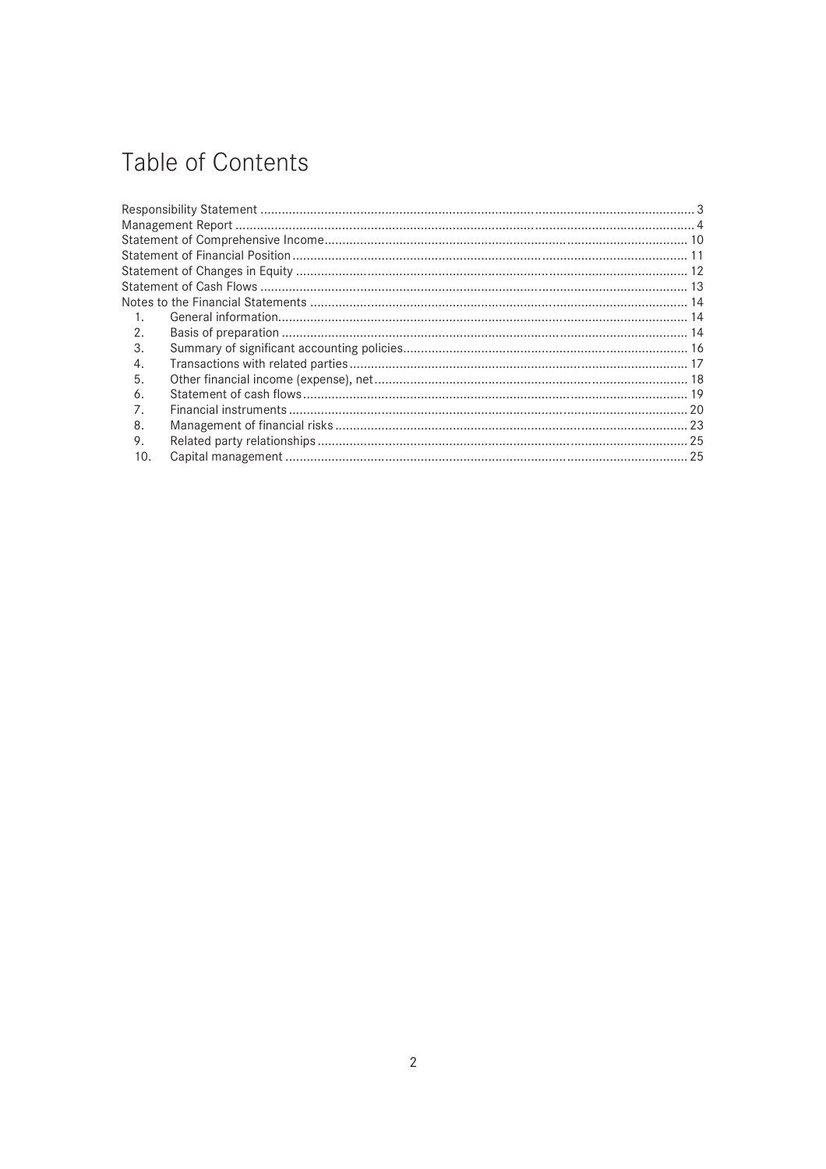## Table of Contents

| $\mathbf{1}$ .  |  |
|-----------------|--|
| 2.              |  |
| $\mathcal{B}$ . |  |
| 4.              |  |
| 5.              |  |
| 6.              |  |
| 7.              |  |
| 8.              |  |
| 9.              |  |
| 10.             |  |
|                 |  |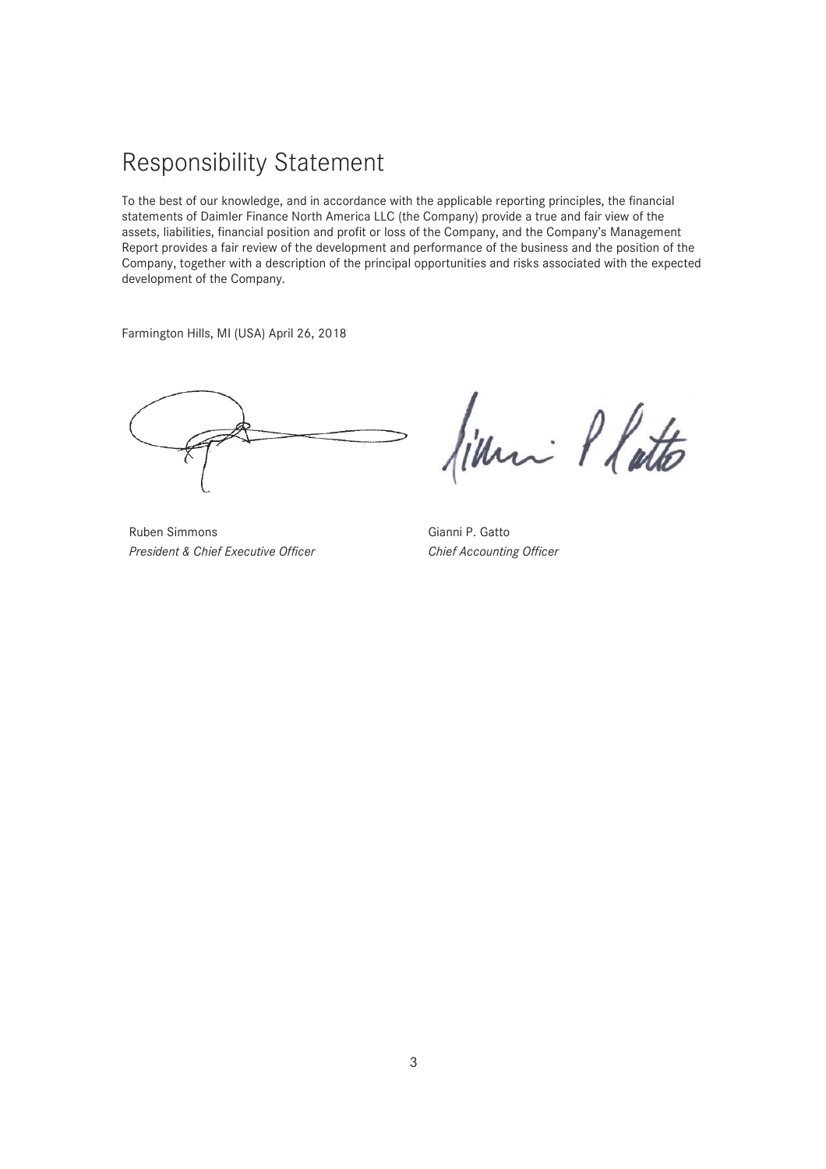## **Responsibility Statement**

To the best of our knowledge, and in accordance with the applicable reporting principles, the financial statements of Daimler Finance North America LLC (the Company) provide a true and fair view of the assets, liabilities, financial position and profit or loss of the Company, and the Company's Management Report provides a fair review of the development and performance of the business and the position of the Company, together with a description of the principal opportunities and risks associated with the expected development of the Company.

Farmington Hills, MI (USA) April 26, 2018

Vimi Platto

Gianni P. Gatto **Chief Accounting Officer** 

**Ruben Simmons** President & Chief Executive Officer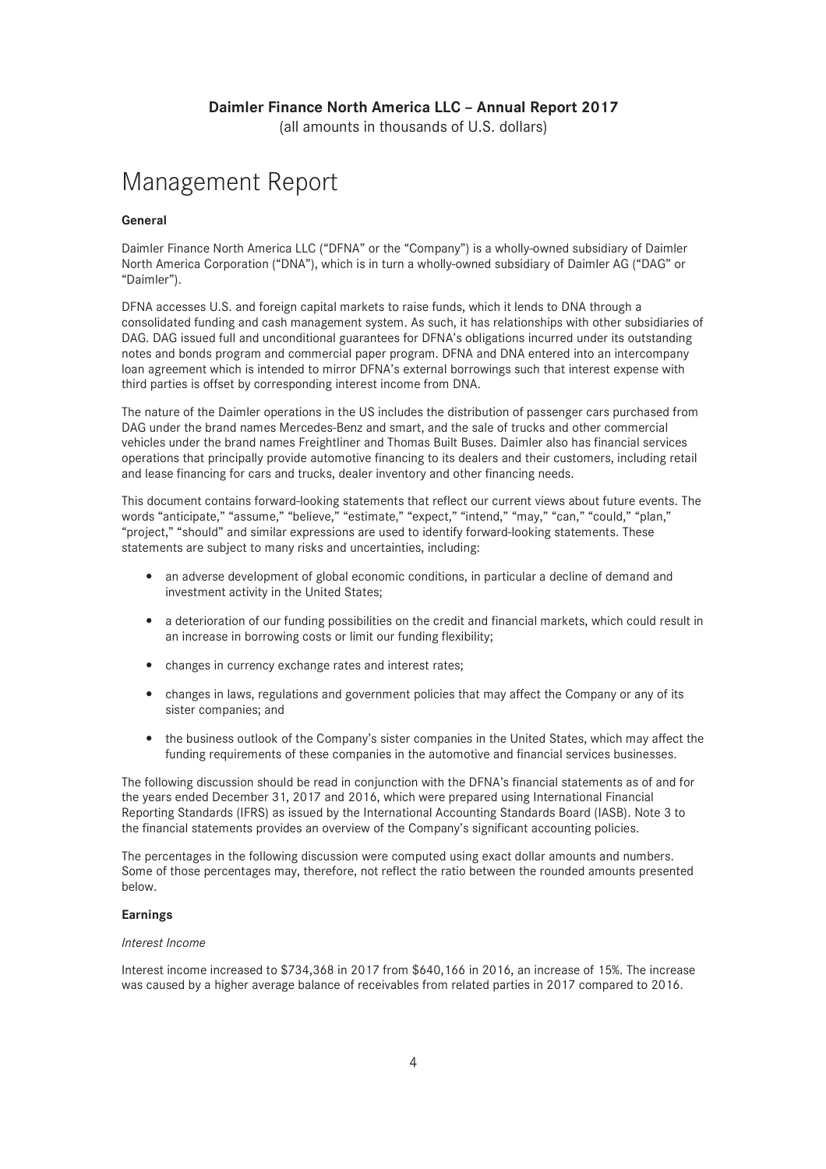(all amounts in thousands of U.S. dollars)

## Management Report

### General

Daimler Finance North America LLC ("DFNA" or the "Company") is a wholly-owned subsidiary of Daimler North America Corporation ("DNA"), which is in turn a wholly-owned subsidiary of Daimler AG ("DAG" or "Daimler").

DFNA accesses U.S. and foreign capital markets to raise funds, which it lends to DNA through a consolidated funding and cash management system. As such, it has relationships with other subsidiaries of DAG. DAG issued full and unconditional guarantees for DFNA's obligations incurred under its outstanding notes and bonds program and commercial paper program. DFNA and DNA entered into an intercompany loan agreement which is intended to mirror DFNA's external borrowings such that interest expense with third parties is offset by corresponding interest income from DNA.

The nature of the Daimler operations in the US includes the distribution of passenger cars purchased from DAG under the brand names Mercedes-Benz and smart, and the sale of trucks and other commercial vehicles under the brand names Freightliner and Thomas Built Buses. Daimler also has financial services operations that principally provide automotive financing to its dealers and their customers, including retail and lease financing for cars and trucks, dealer inventory and other financing needs.

This document contains forward-looking statements that reflect our current views about future events. The words "anticipate," "assume," "believe," "estimate," "expect," "intend," "may," "can," "could," "plan," "project," "should" and similar expressions are used to identify forward-looking statements. These statements are subject to many risks and uncertainties, including:

- an adverse development of global economic conditions, in particular a decline of demand and investment activity in the United States;
- a deterioration of our funding possibilities on the credit and financial markets, which could result in an increase in borrowing costs or limit our funding flexibility;
- changes in currency exchange rates and interest rates:
- changes in laws, regulations and government policies that may affect the Company or any of its sister companies: and
- the business outlook of the Company's sister companies in the United States, which may affect the funding requirements of these companies in the automotive and financial services businesses.

The following discussion should be read in conjunction with the DFNA's financial statements as of and for the years ended December 31, 2017 and 2016, which were prepared using International Financial Reporting Standards (IFRS) as issued by the International Accounting Standards Board (IASB). Note 3 to the financial statements provides an overview of the Company's significant accounting policies.

The percentages in the following discussion were computed using exact dollar amounts and numbers. Some of those percentages may, therefore, not reflect the ratio between the rounded amounts presented below.

### **Earnings**

### Interest Income

Interest income increased to \$734,368 in 2017 from \$640,166 in 2016, an increase of 15%. The increase was caused by a higher average balance of receivables from related parties in 2017 compared to 2016.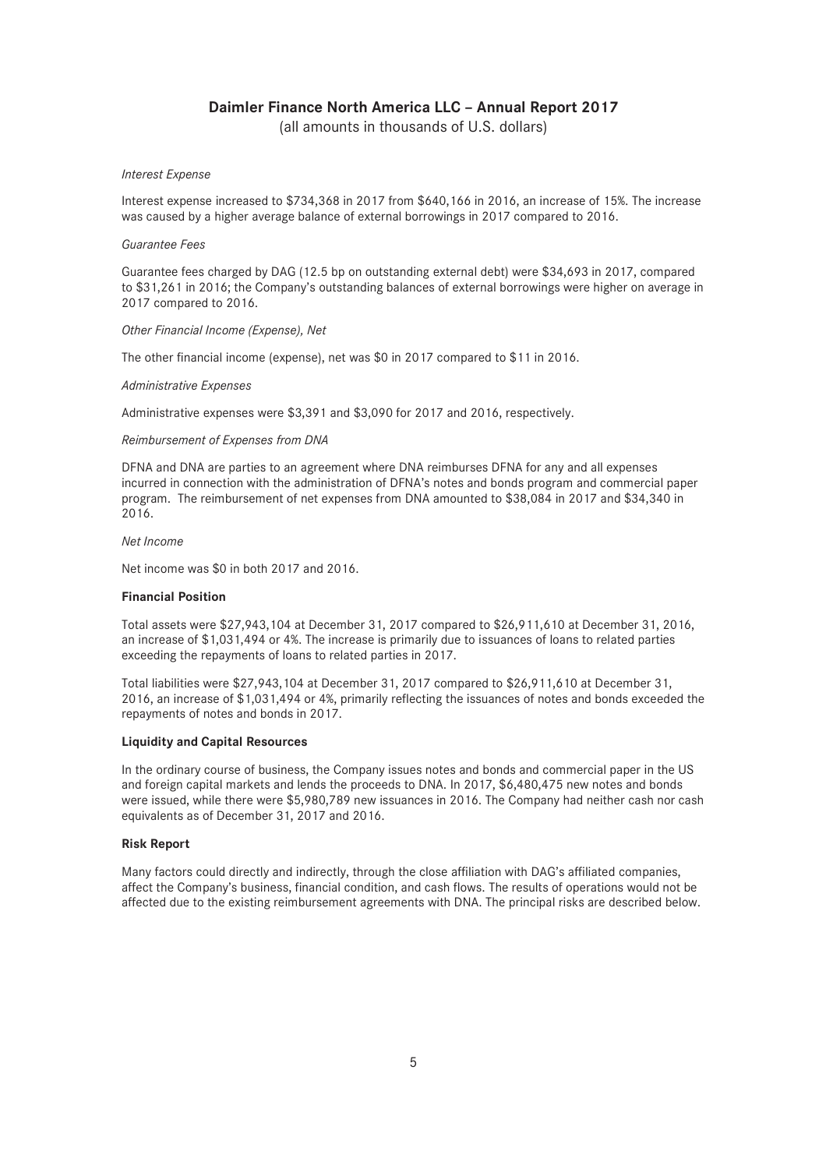(all amounts in thousands of U.S. dollars)

### Interest Expense

Interest expense increased to \$734,368 in 2017 from \$640,166 in 2016, an increase of 15%. The increase was caused by a higher average balance of external borrowings in 2017 compared to 2016.

### Guarantee Fees

Guarantee fees charged by DAG (12.5 bp on outstanding external debt) were \$34,693 in 2017, compared to \$31,261 in 2016; the Company's outstanding balances of external borrowings were higher on average in 2017 compared to 2016.

### Other Financial Income (Expense), Net

The other financial income (expense), net was \$0 in 2017 compared to \$11 in 2016.

### Administrative Expenses

Administrative expenses were \$3,391 and \$3,090 for 2017 and 2016, respectively.

### Reimbursement of Expenses from DNA

DFNA and DNA are parties to an agreement where DNA reimburses DFNA for any and all expenses incurred in connection with the administration of DFNA's notes and bonds program and commercial paper program. The reimbursement of net expenses from DNA amounted to \$38,084 in 2017 and \$34,340 in 2016.

### Net Income

Net income was \$0 in both 2017 and 2016.

### **Financial Position**

Total assets were \$27,943,104 at December 31, 2017 compared to \$26,911,610 at December 31, 2016, an increase of \$1,031,494 or 4%. The increase is primarily due to issuances of loans to related parties exceeding the repayments of loans to related parties in 2017.

Total liabilities were \$27,943,104 at December 31, 2017 compared to \$26,911,610 at December 31. 2016, an increase of \$1,031,494 or 4%, primarily reflecting the issuances of notes and bonds exceeded the repayments of notes and bonds in 2017.

### **Liquidity and Capital Resources**

In the ordinary course of business, the Company issues notes and bonds and commercial paper in the US and foreign capital markets and lends the proceeds to DNA. In 2017, \$6,480,475 new notes and bonds were issued, while there were \$5,980,789 new issuances in 2016. The Company had neither cash nor cash equivalents as of December 31, 2017 and 2016.

### **Risk Report**

Many factors could directly and indirectly, through the close affiliation with DAG's affiliated companies, affect the Company's business, financial condition, and cash flows. The results of operations would not be affected due to the existing reimbursement agreements with DNA. The principal risks are described below.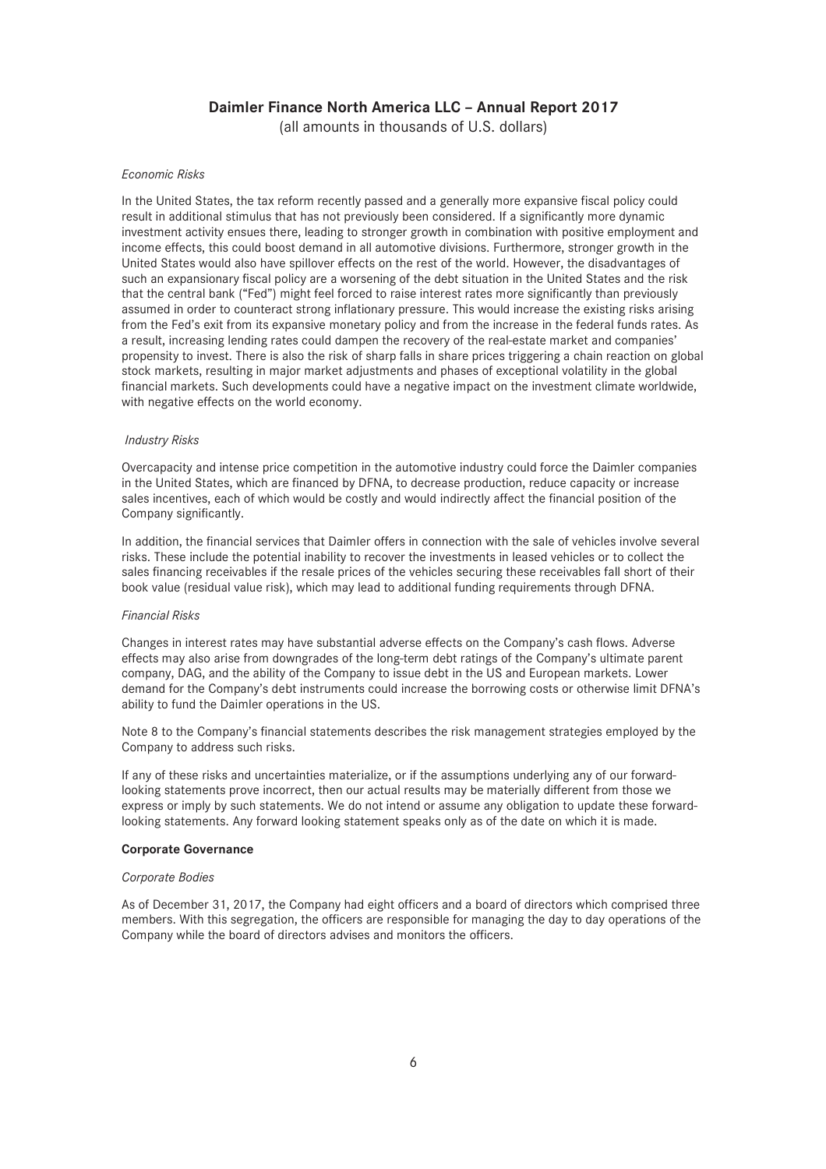(all amounts in thousands of U.S. dollars)

### Economic Risks

In the United States, the tax reform recently passed and a generally more expansive fiscal policy could result in additional stimulus that has not previously been considered. If a significantly more dynamic investment activity ensues there, leading to stronger growth in combination with positive employment and income effects, this could boost demand in all automotive divisions. Furthermore, stronger growth in the United States would also have spillover effects on the rest of the world. However, the disadvantages of such an expansionary fiscal policy are a worsening of the debt situation in the United States and the risk that the central bank ("Fed") might feel forced to raise interest rates more significantly than previously assumed in order to counteract strong inflationary pressure. This would increase the existing risks arising from the Fed's exit from its expansive monetary policy and from the increase in the federal funds rates. As a result, increasing lending rates could dampen the recovery of the real-estate market and companies' propensity to invest. There is also the risk of sharp falls in share prices triggering a chain reaction on global stock markets, resulting in major market adjustments and phases of exceptional volatility in the global financial markets. Such developments could have a negative impact on the investment climate worldwide, with negative effects on the world economy.

### **Industry Risks**

Overcapacity and intense price competition in the automotive industry could force the Daimler companies in the United States, which are financed by DFNA, to decrease production, reduce capacity or increase sales incentives, each of which would be costly and would indirectly affect the financial position of the Company significantly.

In addition, the financial services that Daimler offers in connection with the sale of vehicles involve several risks. These include the potential inability to recover the investments in leased vehicles or to collect the sales financing receivables if the resale prices of the vehicles securing these receivables fall short of their book value (residual value risk), which may lead to additional funding requirements through DFNA.

### **Financial Risks**

Changes in interest rates may have substantial adverse effects on the Company's cash flows. Adverse effects may also arise from downgrades of the long-term debt ratings of the Company's ultimate parent company, DAG, and the ability of the Company to issue debt in the US and European markets. Lower demand for the Company's debt instruments could increase the borrowing costs or otherwise limit DFNA's ability to fund the Daimler operations in the US.

Note 8 to the Company's financial statements describes the risk management strategies employed by the Company to address such risks.

If any of these risks and uncertainties materialize, or if the assumptions underlying any of our forwardlooking statements prove incorrect, then our actual results may be materially different from those we express or imply by such statements. We do not intend or assume any obligation to update these forwardlooking statements. Any forward looking statement speaks only as of the date on which it is made.

### **Corporate Governance**

### Corporate Bodies

As of December 31, 2017, the Company had eight officers and a board of directors which comprised three members. With this segregation, the officers are responsible for managing the day to day operations of the Company while the board of directors advises and monitors the officers.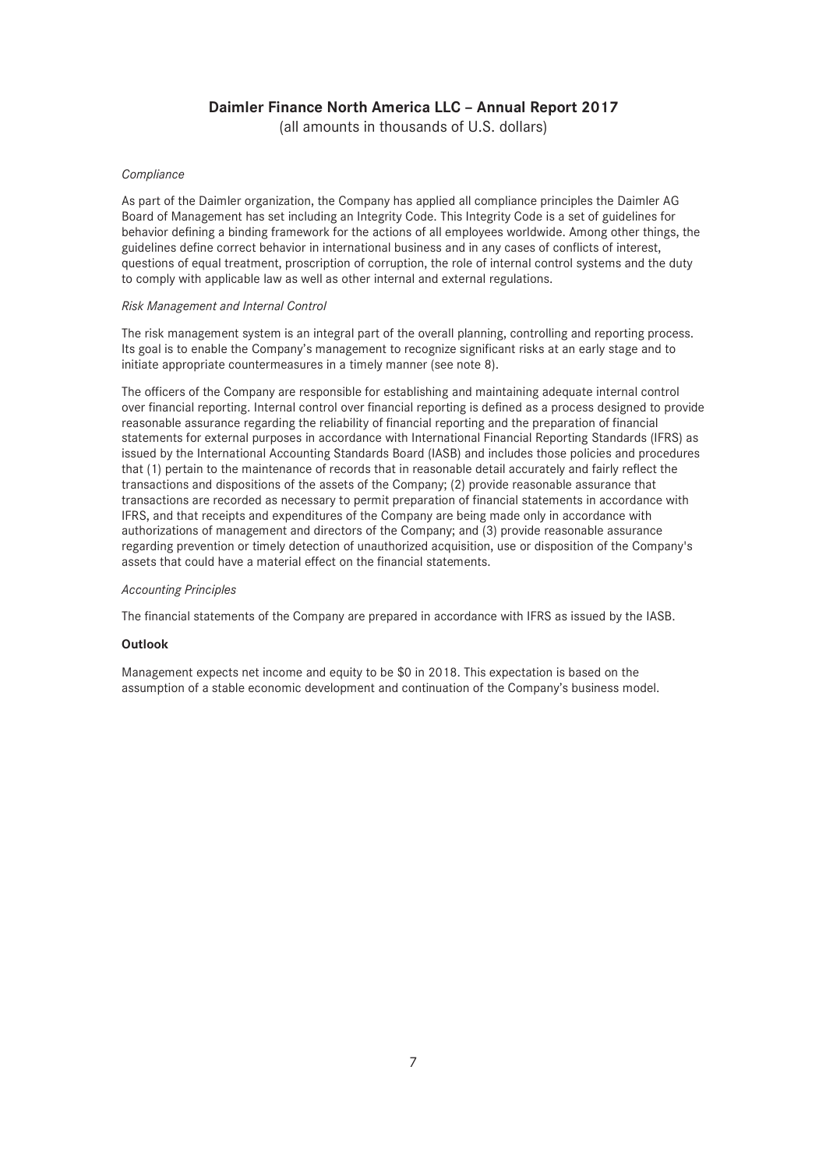(all amounts in thousands of U.S. dollars)

### Compliance

As part of the Daimler organization, the Company has applied all compliance principles the Daimler AG Board of Management has set including an Integrity Code. This Integrity Code is a set of guidelines for behavior defining a binding framework for the actions of all employees worldwide. Among other things, the guidelines define correct behavior in international business and in any cases of conflicts of interest, questions of equal treatment, proscription of corruption, the role of internal control systems and the duty to comply with applicable law as well as other internal and external regulations.

### **Risk Management and Internal Control**

The risk management system is an integral part of the overall planning, controlling and reporting process. Its goal is to enable the Company's management to recognize significant risks at an early stage and to initiate appropriate countermeasures in a timely manner (see note 8).

The officers of the Company are responsible for establishing and maintaining adequate internal control over financial reporting. Internal control over financial reporting is defined as a process designed to provide reasonable assurance regarding the reliability of financial reporting and the preparation of financial statements for external purposes in accordance with International Financial Reporting Standards (IFRS) as issued by the International Accounting Standards Board (IASB) and includes those policies and procedures that (1) pertain to the maintenance of records that in reasonable detail accurately and fairly reflect the transactions and dispositions of the assets of the Company; (2) provide reasonable assurance that transactions are recorded as necessary to permit preparation of financial statements in accordance with IFRS, and that receipts and expenditures of the Company are being made only in accordance with authorizations of management and directors of the Company; and (3) provide reasonable assurance regarding prevention or timely detection of unauthorized acquisition, use or disposition of the Company's assets that could have a material effect on the financial statements.

### **Accounting Principles**

The financial statements of the Company are prepared in accordance with IFRS as issued by the IASB.

### Outlook

Management expects net income and equity to be \$0 in 2018. This expectation is based on the assumption of a stable economic development and continuation of the Company's business model.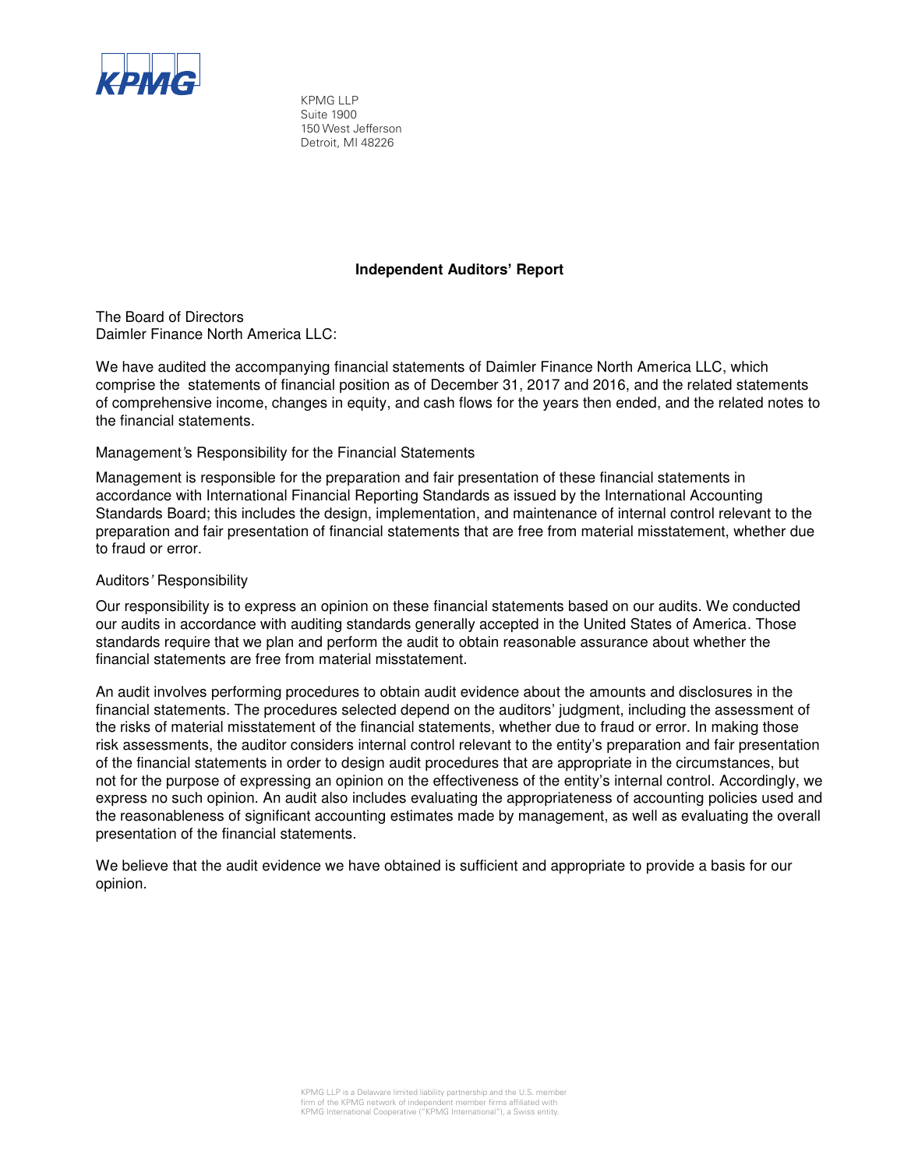

KPMG LLP Suite 1900 150 West Jefferson Detroit, MI 48226

### **Independent Auditors' Report**

The Board of Directors Daimler Finance North America LLC:

We have audited the accompanying financial statements of Daimler Finance North America LLC, which comprise the statements of financial position as of December 31, 2017 and 2016, and the related statements of comprehensive income, changes in equity, and cash flows for the years then ended, and the related notes to the financial statements.

### Management*'*s Responsibility for the Financial Statements

Management is responsible for the preparation and fair presentation of these financial statements in accordance with International Financial Reporting Standards as issued by the International Accounting Standards Board; this includes the design, implementation, and maintenance of internal control relevant to the preparation and fair presentation of financial statements that are free from material misstatement, whether due to fraud or error.

### Auditors*'* Responsibility

Our responsibility is to express an opinion on these financial statements based on our audits. We conducted our audits in accordance with auditing standards generally accepted in the United States of America. Those standards require that we plan and perform the audit to obtain reasonable assurance about whether the financial statements are free from material misstatement.

An audit involves performing procedures to obtain audit evidence about the amounts and disclosures in the financial statements. The procedures selected depend on the auditors' judgment, including the assessment of the risks of material misstatement of the financial statements, whether due to fraud or error. In making those risk assessments, the auditor considers internal control relevant to the entity's preparation and fair presentation of the financial statements in order to design audit procedures that are appropriate in the circumstances, but not for the purpose of expressing an opinion on the effectiveness of the entity's internal control. Accordingly, we express no such opinion. An audit also includes evaluating the appropriateness of accounting policies used and the reasonableness of significant accounting estimates made by management, as well as evaluating the overall presentation of the financial statements.

We believe that the audit evidence we have obtained is sufficient and appropriate to provide a basis for our opinion.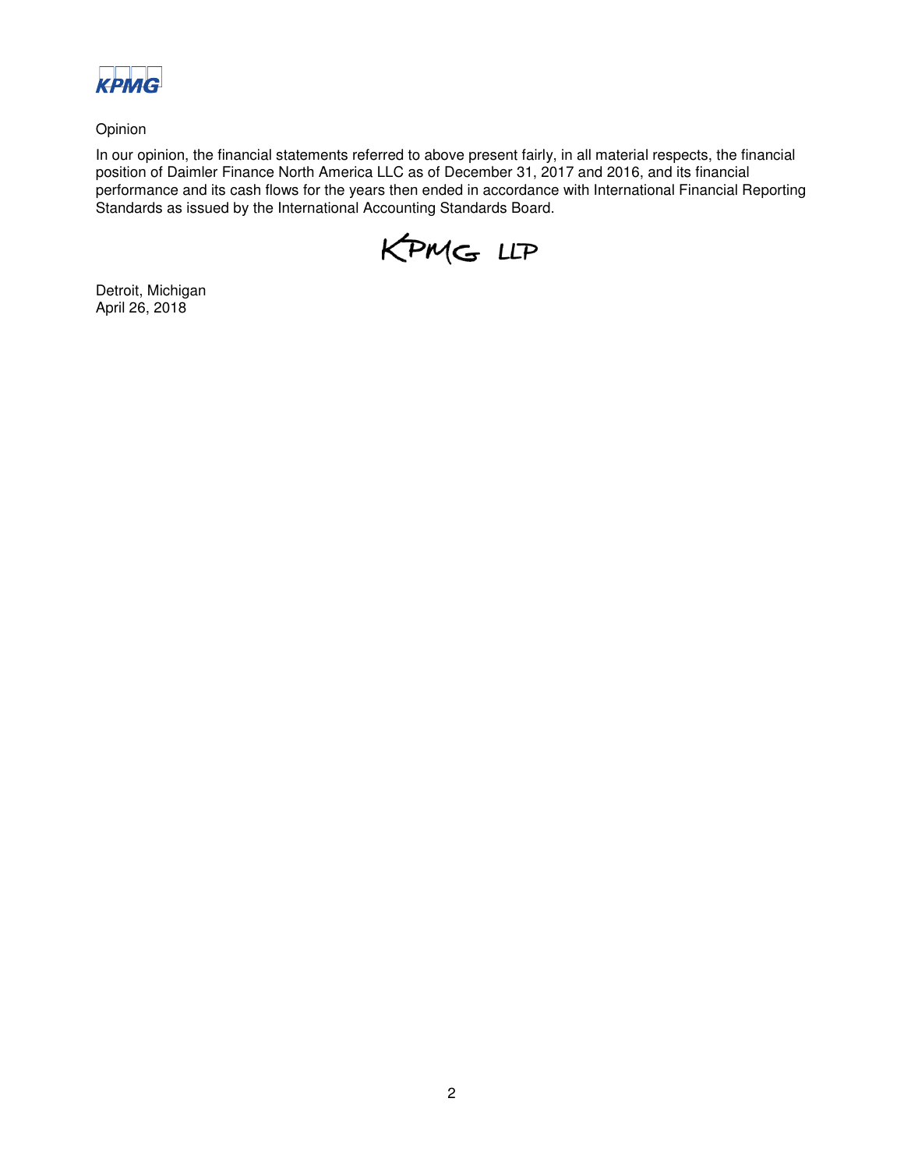

Opinion

In our opinion, the financial statements referred to above present fairly, in all material respects, the financial position of Daimler Finance North America LLC as of December 31, 2017 and 2016, and its financial performance and its cash flows for the years then ended in accordance with International Financial Reporting Standards as issued by the International Accounting Standards Board.



Detroit, Michigan April 26, 2018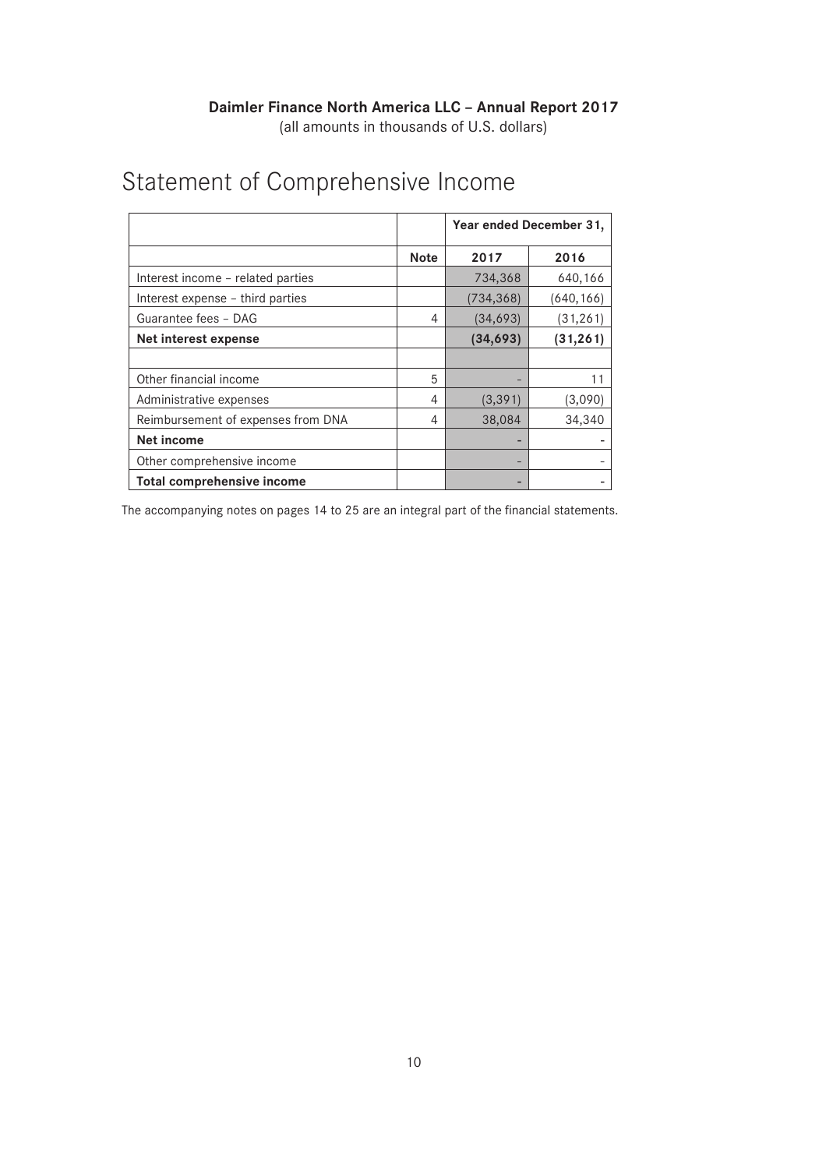## Statement of Comprehensive Income

|                                    |             | Year ended December 31, |            |
|------------------------------------|-------------|-------------------------|------------|
|                                    | <b>Note</b> | 2017                    | 2016       |
| Interest income - related parties  |             | 734,368                 | 640,166    |
| Interest expense - third parties   |             | (734,368)               | (640, 166) |
| Guarantee fees - DAG               | 4           | (34, 693)               | (31, 261)  |
| Net interest expense               |             | (34, 693)               | (31, 261)  |
|                                    |             |                         |            |
| Other financial income             | 5           |                         | 11         |
| Administrative expenses            | 4           | (3,391)                 | (3,090)    |
| Reimbursement of expenses from DNA | 4           | 38,084                  | 34,340     |
| <b>Net income</b>                  |             |                         |            |
| Other comprehensive income         |             |                         |            |
| Total comprehensive income         |             | -                       |            |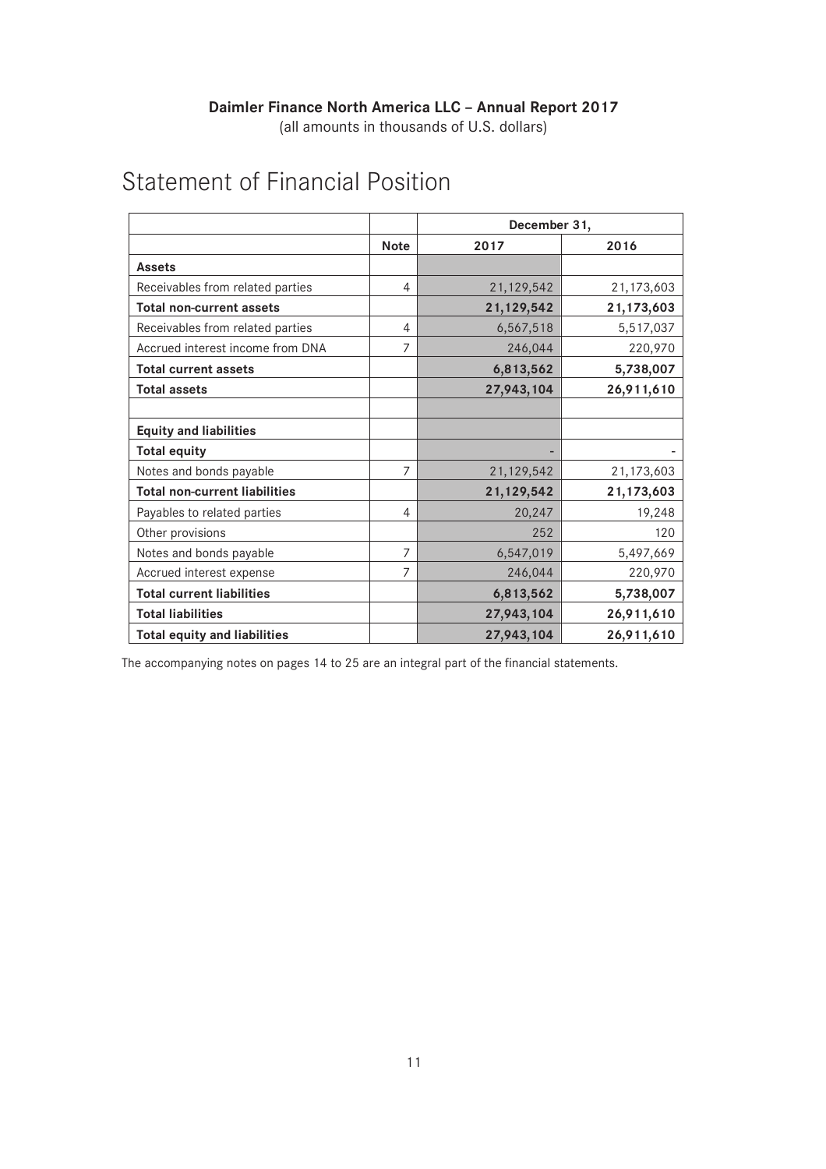## **Statement of Financial Position**

|                                      |             | December 31, |            |  |
|--------------------------------------|-------------|--------------|------------|--|
|                                      | <b>Note</b> | 2017         | 2016       |  |
| <b>Assets</b>                        |             |              |            |  |
| Receivables from related parties     | 4           | 21,129,542   | 21,173,603 |  |
| <b>Total non-current assets</b>      |             | 21,129,542   | 21,173,603 |  |
| Receivables from related parties     | 4           | 6,567,518    | 5,517,037  |  |
| Accrued interest income from DNA     | 7           | 246,044      | 220,970    |  |
| <b>Total current assets</b>          |             | 6,813,562    | 5,738,007  |  |
| <b>Total assets</b>                  |             | 27,943,104   | 26,911,610 |  |
|                                      |             |              |            |  |
| <b>Equity and liabilities</b>        |             |              |            |  |
| <b>Total equity</b>                  |             |              |            |  |
| Notes and bonds payable              | 7           | 21,129,542   | 21,173,603 |  |
| <b>Total non-current liabilities</b> |             | 21,129,542   | 21,173,603 |  |
| Payables to related parties          | 4           | 20,247       | 19,248     |  |
| Other provisions                     |             | 252          | 120        |  |
| Notes and bonds payable              | 7           | 6,547,019    | 5,497,669  |  |
| Accrued interest expense             | 7           | 246,044      | 220,970    |  |
| <b>Total current liabilities</b>     |             | 6,813,562    | 5,738,007  |  |
| <b>Total liabilities</b>             |             | 27,943,104   | 26,911,610 |  |
| <b>Total equity and liabilities</b>  |             | 27,943,104   | 26,911,610 |  |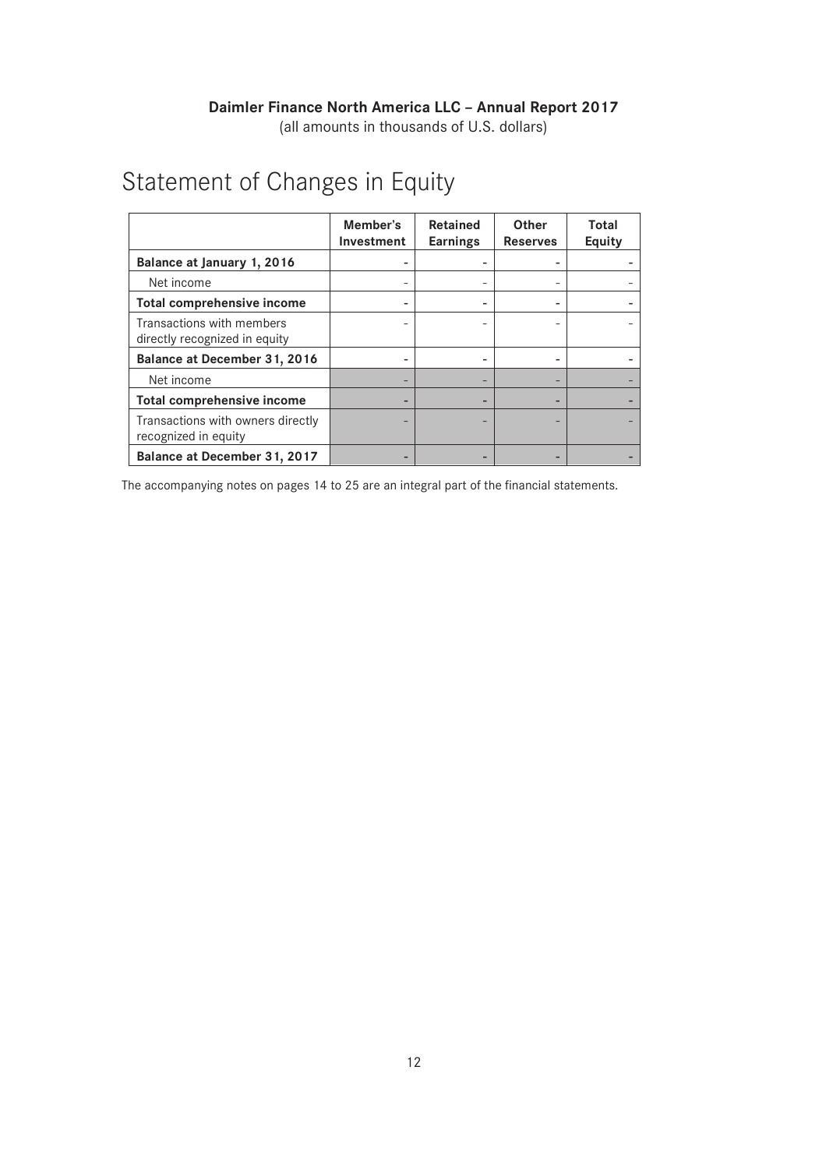## Statement of Changes in Equity

|                                                            | Member's<br>Investment | Retained<br><b>Earnings</b> | Other<br><b>Reserves</b> | <b>Total</b><br><b>Equity</b> |
|------------------------------------------------------------|------------------------|-----------------------------|--------------------------|-------------------------------|
| Balance at January 1, 2016                                 |                        |                             |                          |                               |
| Net income                                                 |                        |                             |                          |                               |
| Total comprehensive income                                 |                        | -                           |                          |                               |
| Transactions with members<br>directly recognized in equity |                        |                             |                          |                               |
| Balance at December 31, 2016                               |                        | -                           |                          |                               |
| Net income                                                 |                        | $\qquad \qquad$             |                          |                               |
| <b>Total comprehensive income</b>                          |                        | -                           |                          |                               |
| Transactions with owners directly<br>recognized in equity  |                        |                             |                          |                               |
| Balance at December 31, 2017                               |                        | -                           |                          |                               |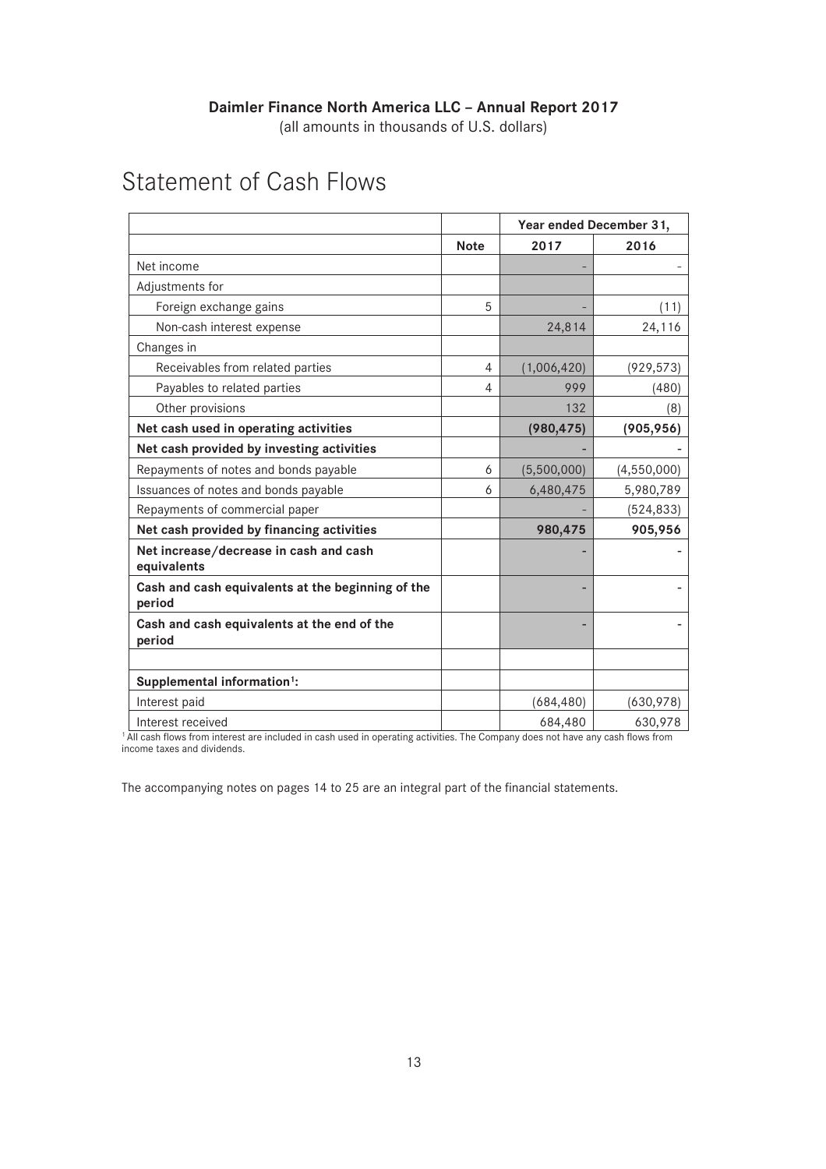(all amounts in thousands of U.S. dollars)

## **Statement of Cash Flows**

|                                                             |             | Year ended December 31, |               |
|-------------------------------------------------------------|-------------|-------------------------|---------------|
|                                                             | <b>Note</b> | 2017                    | 2016          |
| Net income                                                  |             |                         |               |
| Adjustments for                                             |             |                         |               |
| Foreign exchange gains                                      | 5           |                         | (11)          |
| Non-cash interest expense                                   |             | 24,814                  | 24,116        |
| Changes in                                                  |             |                         |               |
| Receivables from related parties                            | 4           | (1,006,420)             | (929, 573)    |
| Payables to related parties                                 | 4           | 999                     | (480)         |
| Other provisions                                            |             | 132                     | (8)           |
| Net cash used in operating activities                       |             | (980, 475)              | (905, 956)    |
| Net cash provided by investing activities                   |             |                         |               |
| Repayments of notes and bonds payable                       | 6           | (5,500,000)             | (4, 550, 000) |
| Issuances of notes and bonds payable                        | 6           | 6,480,475               | 5,980,789     |
| Repayments of commercial paper                              |             |                         | (524,833)     |
| Net cash provided by financing activities                   |             | 980,475                 | 905,956       |
| Net increase/decrease in cash and cash<br>equivalents       |             |                         |               |
| Cash and cash equivalents at the beginning of the<br>period |             |                         |               |
| Cash and cash equivalents at the end of the<br>period       |             |                         |               |
| Supplemental information <sup>1</sup> :                     |             |                         |               |
| Interest paid                                               |             | (684,480)               | (630,978)     |
| Interest received                                           |             | 684,480                 | 630,978       |

All cash flows from interest are included in cash used in operating activities. The Company does not have any cash flows from income taxes and dividends.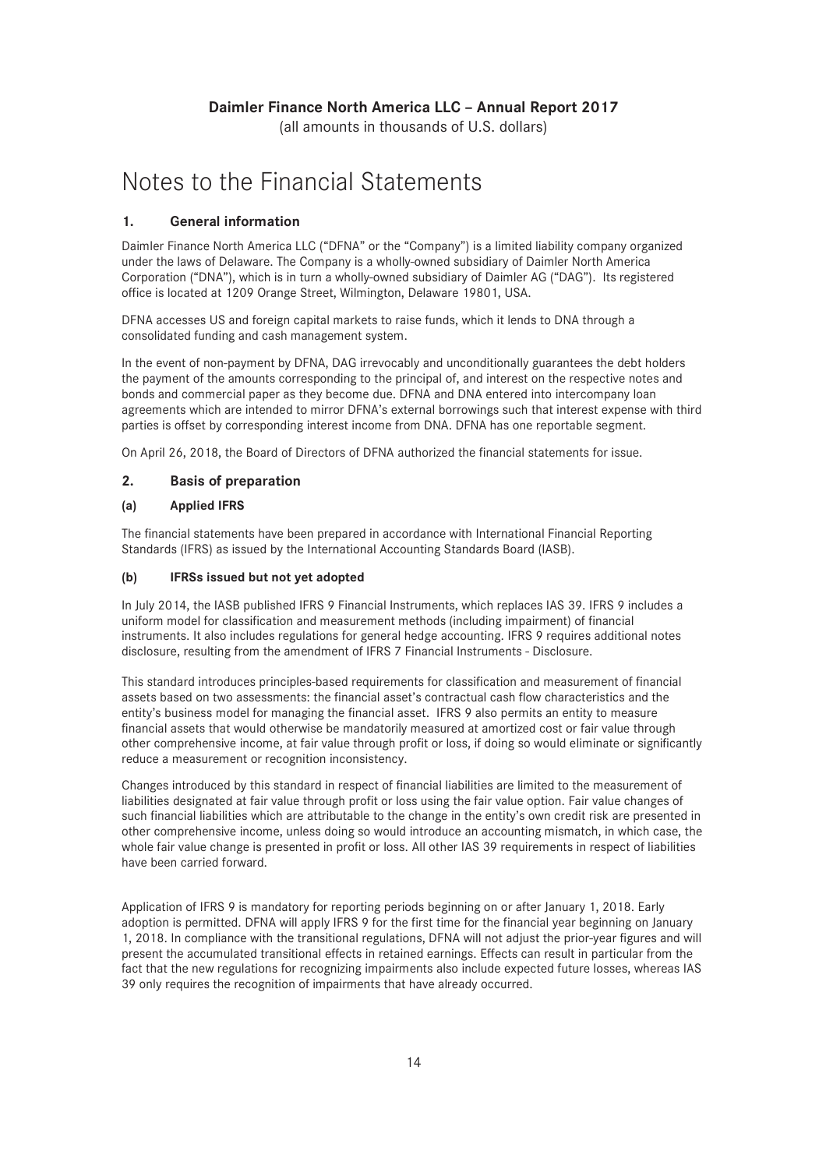(all amounts in thousands of U.S. dollars)

## Notes to the Financial Statements

#### $\mathbf{1}$ . **General information**

Daimler Finance North America LLC ("DFNA" or the "Company") is a limited liability company organized under the laws of Delaware. The Company is a wholly-owned subsidiary of Daimler North America Corporation ("DNA"), which is in turn a wholly-owned subsidiary of Daimler AG ("DAG"). Its registered office is located at 1209 Orange Street, Wilmington, Delaware 19801, USA.

DFNA accesses US and foreign capital markets to raise funds, which it lends to DNA through a consolidated funding and cash management system.

In the event of non-payment by DFNA, DAG irrevocably and unconditionally guarantees the debt holders the payment of the amounts corresponding to the principal of, and interest on the respective notes and bonds and commercial paper as they become due. DFNA and DNA entered into intercompany loan agreements which are intended to mirror DFNA's external borrowings such that interest expense with third parties is offset by corresponding interest income from DNA. DFNA has one reportable segment.

On April 26, 2018, the Board of Directors of DFNA authorized the financial statements for issue.

#### $2.$ **Basis of preparation**

#### **Applied IFRS**  $(a)$

The financial statements have been prepared in accordance with International Financial Reporting Standards (IFRS) as issued by the International Accounting Standards Board (IASB).

#### IFRSs issued but not yet adopted  $(b)$

In July 2014, the IASB published IFRS 9 Financial Instruments, which replaces IAS 39. IFRS 9 includes a uniform model for classification and measurement methods (including impairment) of financial instruments. It also includes regulations for general hedge accounting. IFRS 9 requires additional notes disclosure, resulting from the amendment of IFRS 7 Financial Instruments - Disclosure.

This standard introduces principles-based requirements for classification and measurement of financial assets based on two assessments: the financial asset's contractual cash flow characteristics and the entity's business model for managing the financial asset. IFRS 9 also permits an entity to measure financial assets that would otherwise be mandatorily measured at amortized cost or fair value through other comprehensive income, at fair value through profit or loss, if doing so would eliminate or significantly reduce a measurement or recognition inconsistency.

Changes introduced by this standard in respect of financial liabilities are limited to the measurement of liabilities designated at fair value through profit or loss using the fair value option. Fair value changes of such financial liabilities which are attributable to the change in the entity's own credit risk are presented in other comprehensive income, unless doing so would introduce an accounting mismatch, in which case, the whole fair value change is presented in profit or loss. All other IAS 39 requirements in respect of liabilities have been carried forward.

Application of IFRS 9 is mandatory for reporting periods beginning on or after January 1, 2018. Early adoption is permitted. DFNA will apply IFRS 9 for the first time for the financial year beginning on January 1, 2018. In compliance with the transitional regulations, DFNA will not adjust the prior-year figures and will present the accumulated transitional effects in retained earnings. Effects can result in particular from the fact that the new regulations for recognizing impairments also include expected future losses, whereas IAS 39 only requires the recognition of impairments that have already occurred.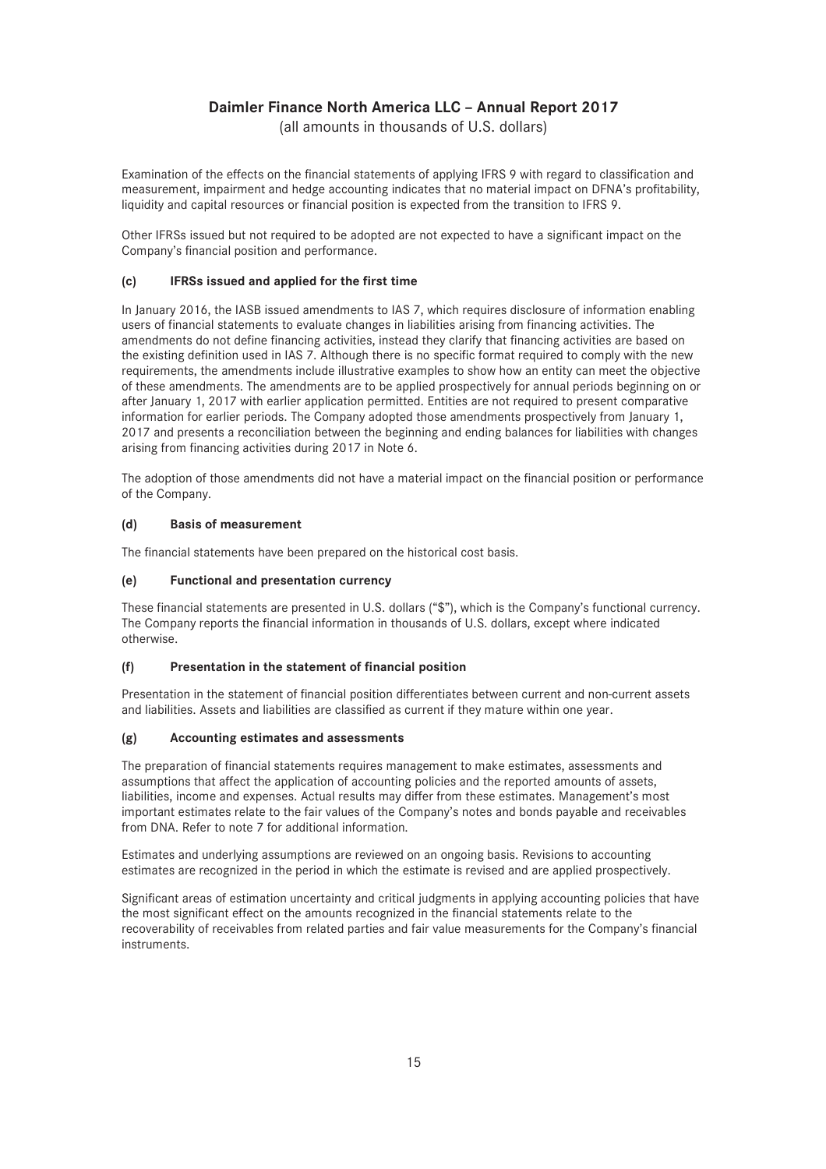(all amounts in thousands of U.S. dollars)

Examination of the effects on the financial statements of applying IFRS 9 with regard to classification and measurement, impairment and hedge accounting indicates that no material impact on DFNA's profitability, liquidity and capital resources or financial position is expected from the transition to IFRS 9.

Other IFRSs issued but not required to be adopted are not expected to have a significant impact on the Company's financial position and performance.

#### IFRSs issued and applied for the first time  $(c)$

In January 2016, the IASB issued amendments to IAS 7, which requires disclosure of information enabling users of financial statements to evaluate changes in liabilities arising from financing activities. The amendments do not define financing activities, instead they clarify that financing activities are based on the existing definition used in IAS 7. Although there is no specific format required to comply with the new requirements, the amendments include illustrative examples to show how an entity can meet the objective of these amendments. The amendments are to be applied prospectively for annual periods beginning on or after January 1, 2017 with earlier application permitted. Entities are not required to present comparative information for earlier periods. The Company adopted those amendments prospectively from January 1, 2017 and presents a reconciliation between the beginning and ending balances for liabilities with changes arising from financing activities during 2017 in Note 6.

The adoption of those amendments did not have a material impact on the financial position or performance of the Company.

#### $(d)$ **Basis of measurement**

The financial statements have been prepared on the historical cost basis.

#### Functional and presentation currency  $(e)$

These financial statements are presented in U.S. dollars ("\$"), which is the Company's functional currency. The Company reports the financial information in thousands of U.S. dollars, except where indicated otherwise.

#### $(f)$ Presentation in the statement of financial position

Presentation in the statement of financial position differentiates between current and non-current assets and liabilities. Assets and liabilities are classified as current if they mature within one year.

#### Accounting estimates and assessments  $(g)$

The preparation of financial statements requires management to make estimates, assessments and assumptions that affect the application of accounting policies and the reported amounts of assets, liabilities, income and expenses. Actual results may differ from these estimates. Management's most important estimates relate to the fair values of the Company's notes and bonds payable and receivables from DNA. Refer to note 7 for additional information.

Estimates and underlying assumptions are reviewed on an ongoing basis. Revisions to accounting estimates are recognized in the period in which the estimate is revised and are applied prospectively.

Significant areas of estimation uncertainty and critical judgments in applying accounting policies that have the most significant effect on the amounts recognized in the financial statements relate to the recoverability of receivables from related parties and fair value measurements for the Company's financial instruments.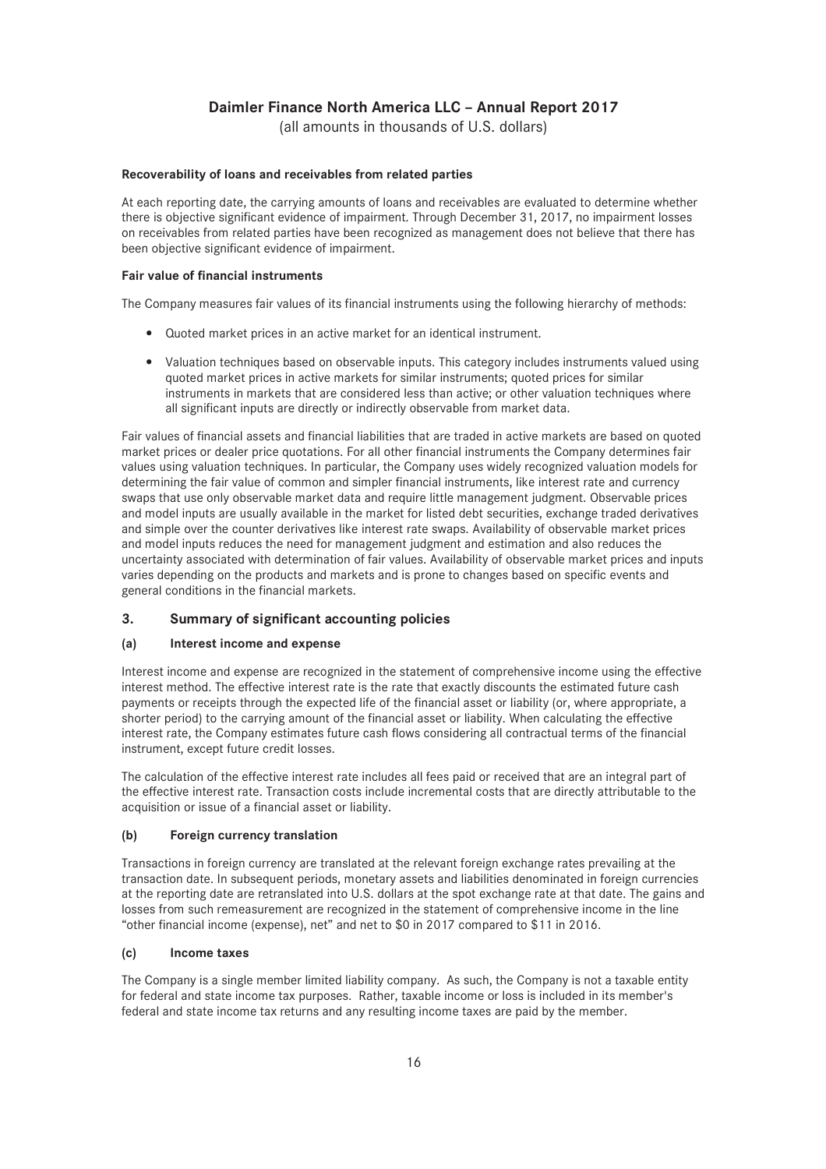(all amounts in thousands of U.S. dollars)

### Recoverability of loans and receivables from related parties

At each reporting date, the carrying amounts of loans and receivables are evaluated to determine whether there is objective significant evidence of impairment. Through December 31, 2017, no impairment losses on receivables from related parties have been recognized as management does not believe that there has been objective significant evidence of impairment.

### **Fair value of financial instruments**

The Company measures fair values of its financial instruments using the following hierarchy of methods:

- Quoted market prices in an active market for an identical instrument.
- Valuation techniques based on observable inputs. This category includes instruments valued using quoted market prices in active markets for similar instruments; quoted prices for similar instruments in markets that are considered less than active; or other valuation techniques where all significant inputs are directly or indirectly observable from market data.

Fair values of financial assets and financial liabilities that are traded in active markets are based on quoted market prices or dealer price quotations. For all other financial instruments the Company determines fair values using valuation techniques. In particular, the Company uses widely recognized valuation models for determining the fair value of common and simpler financial instruments, like interest rate and currency swaps that use only observable market data and require little management judgment. Observable prices and model inputs are usually available in the market for listed debt securities, exchange traded derivatives and simple over the counter derivatives like interest rate swaps. Availability of observable market prices and model inputs reduces the need for management judgment and estimation and also reduces the uncertainty associated with determination of fair values. Availability of observable market prices and inputs varies depending on the products and markets and is prone to changes based on specific events and general conditions in the financial markets.

#### $3<sub>l</sub>$ Summary of significant accounting policies

#### Interest income and expense  $(a)$

Interest income and expense are recognized in the statement of comprehensive income using the effective interest method. The effective interest rate is the rate that exactly discounts the estimated future cash payments or receipts through the expected life of the financial asset or liability (or, where appropriate, a shorter period) to the carrying amount of the financial asset or liability. When calculating the effective interest rate, the Company estimates future cash flows considering all contractual terms of the financial instrument, except future credit losses.

The calculation of the effective interest rate includes all fees paid or received that are an integral part of the effective interest rate. Transaction costs include incremental costs that are directly attributable to the acquisition or issue of a financial asset or liability.

#### Foreign currency translation  $(b)$

Transactions in foreign currency are translated at the relevant foreign exchange rates prevailing at the transaction date. In subsequent periods, monetary assets and liabilities denominated in foreign currencies at the reporting date are retranslated into U.S. dollars at the spot exchange rate at that date. The gains and losses from such remeasurement are recognized in the statement of comprehensive income in the line "other financial income (expense), net" and net to \$0 in 2017 compared to \$11 in 2016.

#### Income taxes  $(c)$

The Company is a single member limited liability company. As such, the Company is not a taxable entity for federal and state income tax purposes. Rather, taxable income or loss is included in its member's federal and state income tax returns and any resulting income taxes are paid by the member.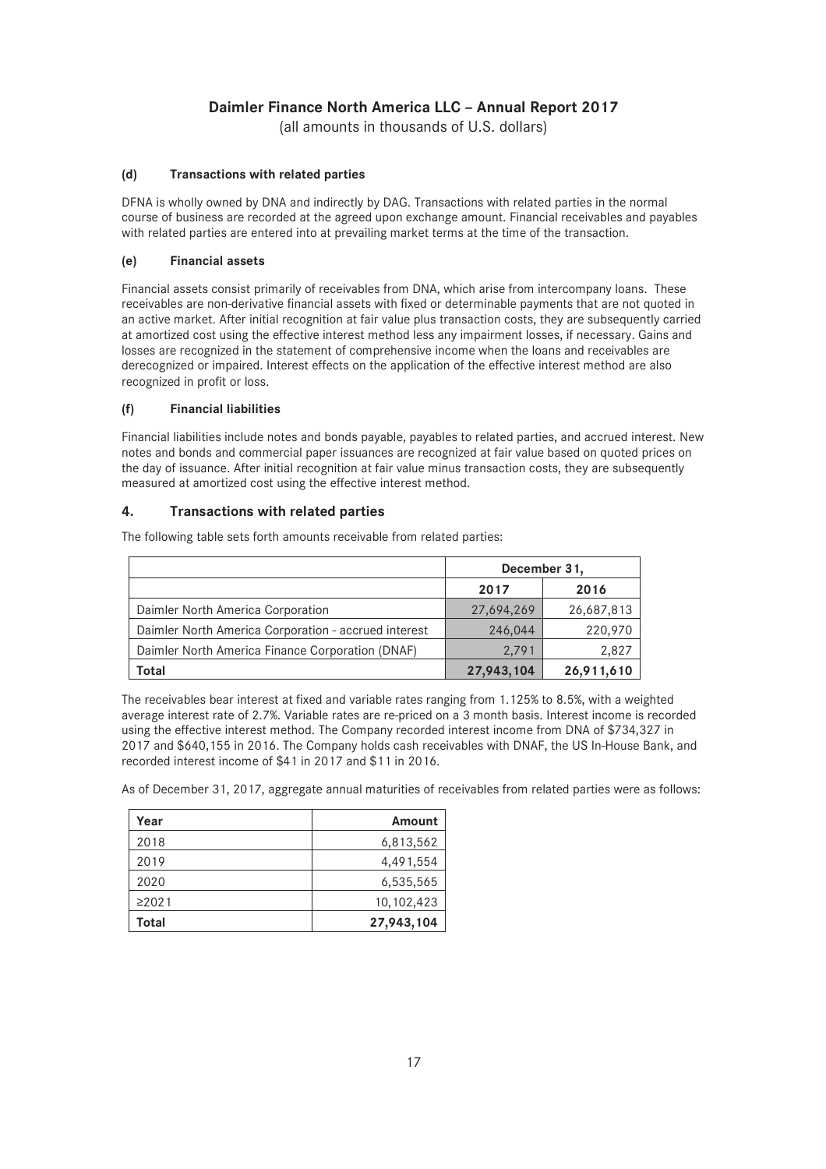(all amounts in thousands of U.S. dollars)

#### $(d)$ Transactions with related parties

DFNA is wholly owned by DNA and indirectly by DAG. Transactions with related parties in the normal course of business are recorded at the agreed upon exchange amount. Financial receivables and payables with related parties are entered into at prevailing market terms at the time of the transaction.

#### **Financial assets**  $(e)$

Financial assets consist primarily of receivables from DNA, which arise from intercompany loans. These receivables are non-derivative financial assets with fixed or determinable payments that are not quoted in an active market. After initial recognition at fair value plus transaction costs, they are subsequently carried at amortized cost using the effective interest method less any impairment losses, if necessary. Gains and losses are recognized in the statement of comprehensive income when the loans and receivables are derecognized or impaired. Interest effects on the application of the effective interest method are also recognized in profit or loss.

#### $(f)$ **Financial liabilities**

Financial liabilities include notes and bonds payable, payables to related parties, and accrued interest. New notes and bonds and commercial paper issuances are recognized at fair value based on quoted prices on the day of issuance. After initial recognition at fair value minus transaction costs, they are subsequently measured at amortized cost using the effective interest method.

#### $\mathbf{A}$ **Transactions with related parties**

The following table sets forth amounts receivable from related parties:

|                                                      | December 31, |            |
|------------------------------------------------------|--------------|------------|
|                                                      | 2017         | 2016       |
| Daimler North America Corporation                    | 27,694,269   | 26,687,813 |
| Daimler North America Corporation - accrued interest | 246,044      | 220,970    |
| Daimler North America Finance Corporation (DNAF)     | 2,791        | 2.827      |
| 27,943,104<br>Total                                  |              | 26,911,610 |

The receivables bear interest at fixed and variable rates ranging from 1.125% to 8.5%, with a weighted average interest rate of 2.7%. Variable rates are re-priced on a 3 month basis. Interest income is recorded using the effective interest method. The Company recorded interest income from DNA of \$734,327 in 2017 and \$640,155 in 2016. The Company holds cash receivables with DNAF, the US In-House Bank, and recorded interest income of \$41 in 2017 and \$11 in 2016.

As of December 31, 2017, aggregate annual maturities of receivables from related parties were as follows:

| Year        | Amount       |
|-------------|--------------|
| 2018        | 6,813,562    |
| 2019        | 4,491,554    |
| 2020        | 6,535,565    |
| $\geq$ 2021 | 10, 102, 423 |
| Total       | 27,943,104   |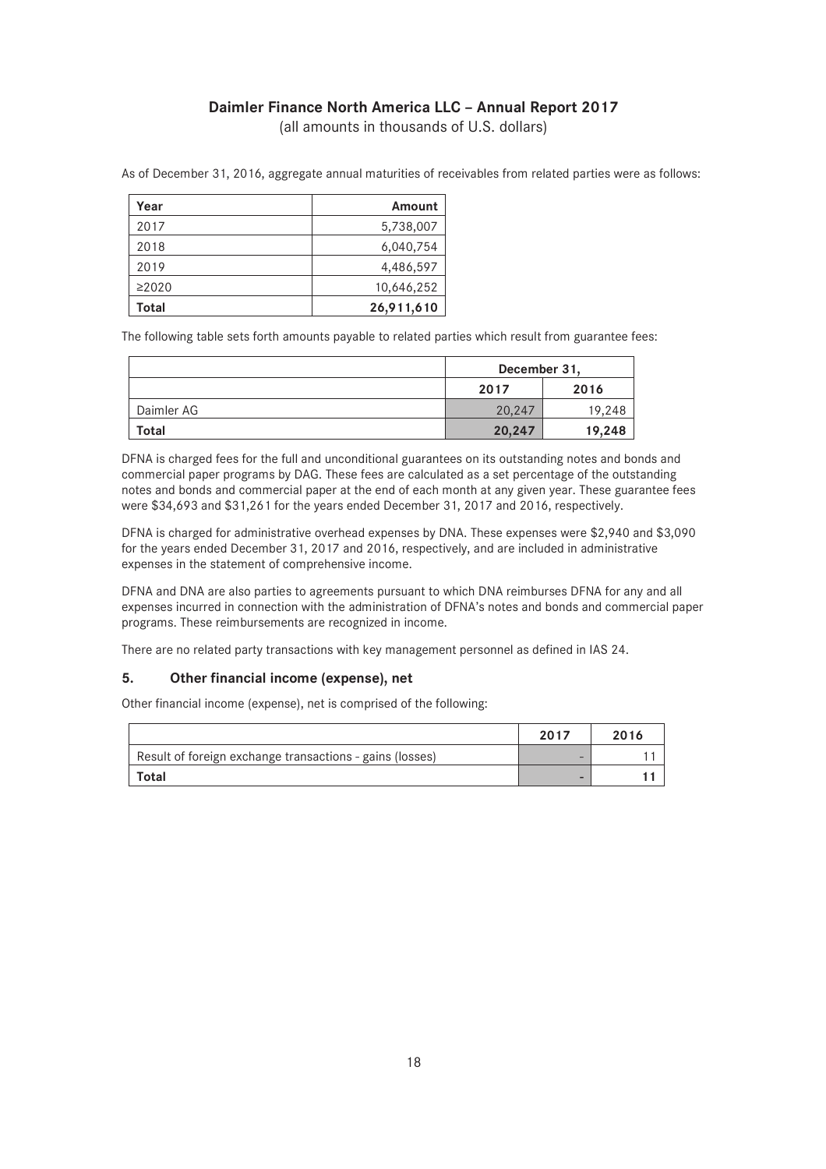(all amounts in thousands of U.S. dollars)

As of December 31, 2016, aggregate annual maturities of receivables from related parties were as follows:

| Year        | Amount     |
|-------------|------------|
| 2017        | 5,738,007  |
| 2018        | 6,040,754  |
| 2019        | 4,486,597  |
| $\geq 2020$ | 10,646,252 |
| Total       | 26,911,610 |

The following table sets forth amounts payable to related parties which result from guarantee fees:

|            | December 31, |        |
|------------|--------------|--------|
|            | 2016<br>2017 |        |
| Daimler AG | 20,247       | 19,248 |
| Total      | 20,247       | 19,248 |

DFNA is charged fees for the full and unconditional guarantees on its outstanding notes and bonds and commercial paper programs by DAG. These fees are calculated as a set percentage of the outstanding notes and bonds and commercial paper at the end of each month at any given year. These guarantee fees were \$34,693 and \$31,261 for the years ended December 31, 2017 and 2016, respectively.

DFNA is charged for administrative overhead expenses by DNA. These expenses were \$2,940 and \$3,090 for the years ended December 31, 2017 and 2016, respectively, and are included in administrative expenses in the statement of comprehensive income.

DFNA and DNA are also parties to agreements pursuant to which DNA reimburses DFNA for any and all expenses incurred in connection with the administration of DFNA's notes and bonds and commercial paper programs. These reimbursements are recognized in income.

There are no related party transactions with key management personnel as defined in IAS 24.

#### $5<sub>1</sub>$ Other financial income (expense), net

Other financial income (expense), net is comprised of the following:

|                                                          | 2017 | 2016 |
|----------------------------------------------------------|------|------|
| Result of foreign exchange transactions - gains (losses) |      |      |
| Total                                                    |      |      |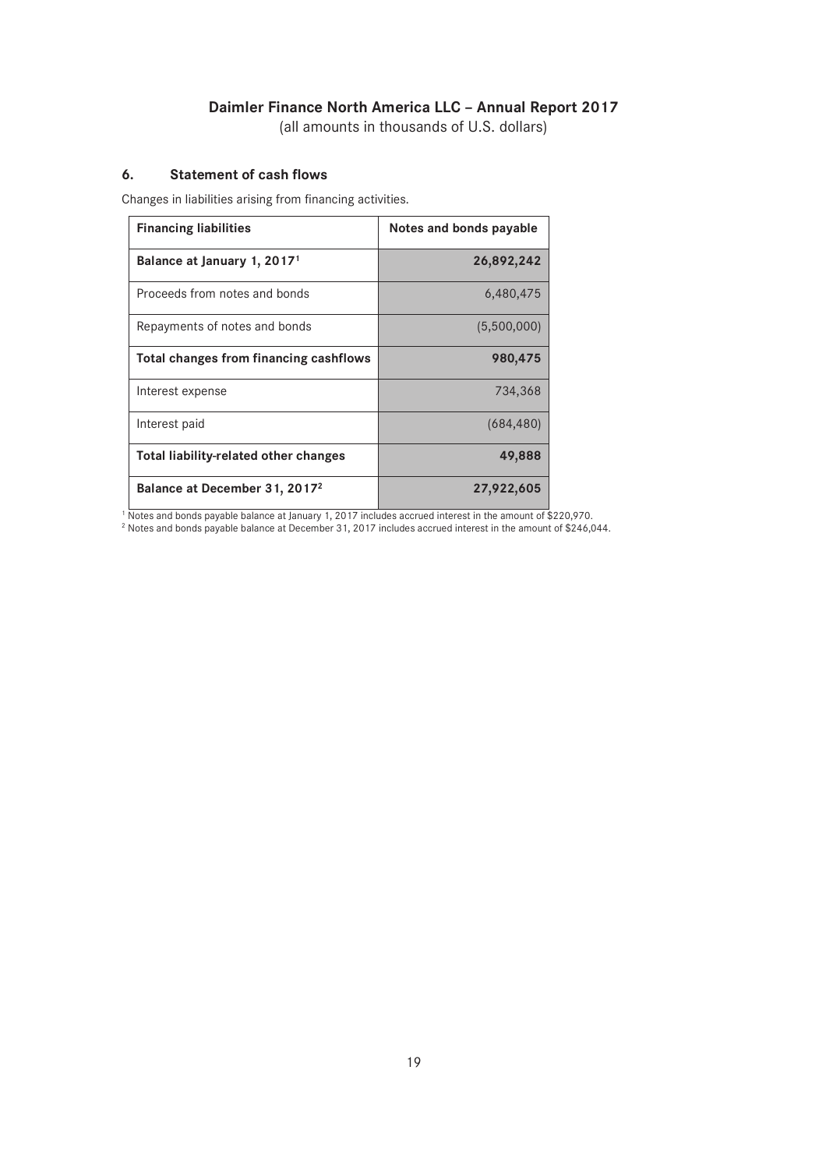(all amounts in thousands of U.S. dollars)

#### 6. **Statement of cash flows**

Changes in liabilities arising from financing activities.

| <b>Financing liabilities</b>                 | Notes and bonds payable |
|----------------------------------------------|-------------------------|
| Balance at January 1, 2017 <sup>1</sup>      | 26,892,242              |
| Proceeds from notes and bonds                | 6,480,475               |
| Repayments of notes and bonds                | (5,500,000)             |
| Total changes from financing cashflows       | 980,475                 |
| Interest expense                             | 734,368                 |
| Interest paid                                | (684, 480)              |
| <b>Total liability-related other changes</b> | 49,888                  |
| Balance at December 31, 2017 <sup>2</sup>    | 27,922,605              |

Notes and bonds payable balance at January 1, 2017 includes accrued interest in the amount of \$220,970.<br>
<sup>2</sup> Notes and bonds payable balance at December 31, 2017 includes accrued interest in the amount of \$246,044.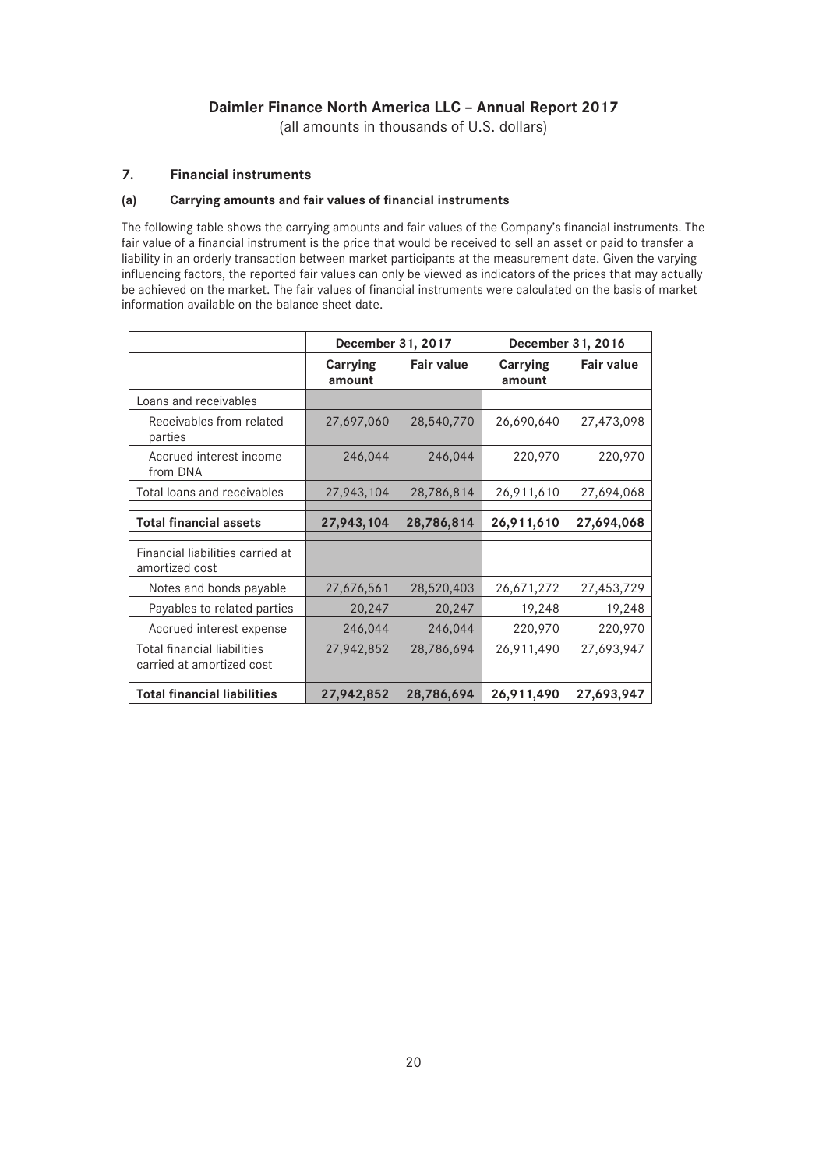(all amounts in thousands of U.S. dollars)

#### $\overline{7}$ . **Financial instruments**

#### $(a)$ Carrying amounts and fair values of financial instruments

The following table shows the carrying amounts and fair values of the Company's financial instruments. The fair value of a financial instrument is the price that would be received to sell an asset or paid to transfer a liability in an orderly transaction between market participants at the measurement date. Given the varying influencing factors, the reported fair values can only be viewed as indicators of the prices that may actually be achieved on the market. The fair values of financial instruments were calculated on the basis of market information available on the balance sheet date.

|                                                                 | December 31, 2017  |                   | December 31, 2016         |                   |
|-----------------------------------------------------------------|--------------------|-------------------|---------------------------|-------------------|
|                                                                 | Carrying<br>amount | <b>Fair value</b> | <b>Carrying</b><br>amount | <b>Fair value</b> |
| Loans and receivables                                           |                    |                   |                           |                   |
| Receivables from related<br>parties                             | 27,697,060         | 28,540,770        | 26,690,640                | 27,473,098        |
| Accrued interest income<br>from DNA                             | 246,044            | 246,044           | 220,970                   | 220,970           |
| Total loans and receivables                                     | 27,943,104         | 28,786,814        | 26,911,610                | 27,694,068        |
|                                                                 |                    |                   |                           |                   |
| <b>Total financial assets</b>                                   | 27,943,104         | 28,786,814        | 26,911,610                | 27,694,068        |
| Financial liabilities carried at<br>amortized cost              |                    |                   |                           |                   |
| Notes and bonds payable                                         | 27,676,561         | 28,520,403        | 26,671,272                | 27,453,729        |
| Payables to related parties                                     | 20,247             | 20,247            | 19,248                    | 19,248            |
| Accrued interest expense                                        | 246,044            | 246,044           | 220,970                   | 220,970           |
| <b>Total financial liabilities</b><br>carried at amortized cost | 27,942,852         | 28,786,694        | 26,911,490                | 27,693,947        |
|                                                                 |                    |                   |                           |                   |
| <b>Total financial liabilities</b>                              | 27,942,852         | 28,786,694        | 26,911,490                | 27,693,947        |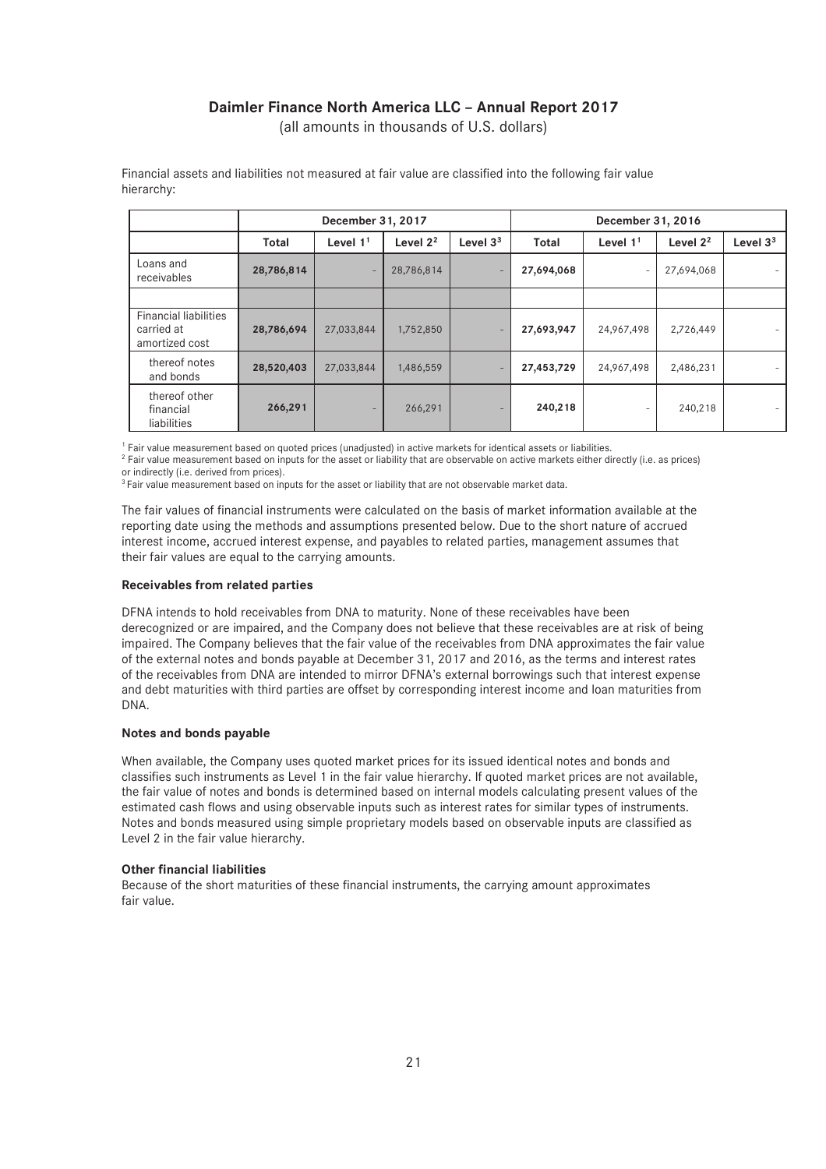(all amounts in thousands of U.S. dollars)

|                                                              | December 31, 2017 |            |                      |                          | December 31, 2016 |            |                      |                          |  |
|--------------------------------------------------------------|-------------------|------------|----------------------|--------------------------|-------------------|------------|----------------------|--------------------------|--|
|                                                              | Total             | Level $11$ | Level 2 <sup>2</sup> | Level $33$               | Total             | Level $11$ | Level 2 <sup>2</sup> | Level 33                 |  |
| Loans and<br>receivables                                     | 28,786,814        | ۰.         | 28,786,814           | $\overline{\phantom{a}}$ | 27,694,068        |            | 27,694,068           | $\sim$                   |  |
|                                                              |                   |            |                      |                          |                   |            |                      |                          |  |
| <b>Financial liabilities</b><br>carried at<br>amortized cost | 28,786,694        | 27.033.844 | 1,752,850            |                          | 27,693,947        | 24,967,498 | 2,726,449            | $\overline{\phantom{0}}$ |  |
| thereof notes<br>and bonds                                   | 28,520,403        | 27.033.844 | 1,486,559            |                          | 27,453,729        | 24,967,498 | 2,486,231            |                          |  |
| thereof other<br>financial<br>liabilities                    | 266,291           |            | 266,291              |                          | 240,218           |            | 240,218              | $\overline{\phantom{0}}$ |  |

Financial assets and liabilities not measured at fair value are classified into the following fair value hierarchy:

<sup>1</sup> Fair value measurement based on quoted prices (unadjusted) in active markets for identical assets or liabilities.

<sup>2</sup> Fair value measurement based on inputs for the asset or liability that are observable on active markets either directly (i.e. as prices) or indirectly (i.e. derived from prices).

<sup>3</sup> Fair value measurement based on inputs for the asset or liability that are not observable market data.

The fair values of financial instruments were calculated on the basis of market information available at the reporting date using the methods and assumptions presented below. Due to the short nature of accrued interest income, accrued interest expense, and payables to related parties, management assumes that their fair values are equal to the carrying amounts.

### Receivables from related parties

DFNA intends to hold receivables from DNA to maturity. None of these receivables have been derecognized or are impaired, and the Company does not believe that these receivables are at risk of being impaired. The Company believes that the fair value of the receivables from DNA approximates the fair value of the external notes and bonds payable at December 31, 2017 and 2016, as the terms and interest rates of the receivables from DNA are intended to mirror DFNA's external borrowings such that interest expense and debt maturities with third parties are offset by corresponding interest income and loan maturities from DNA.

### Notes and bonds payable

When available, the Company uses quoted market prices for its issued identical notes and bonds and classifies such instruments as Level 1 in the fair value hierarchy. If quoted market prices are not available, the fair value of notes and bonds is determined based on internal models calculating present values of the estimated cash flows and using observable inputs such as interest rates for similar types of instruments. Notes and bonds measured using simple proprietary models based on observable inputs are classified as Level 2 in the fair value hierarchy.

### Other financial liabilities

Because of the short maturities of these financial instruments, the carrying amount approximates fair value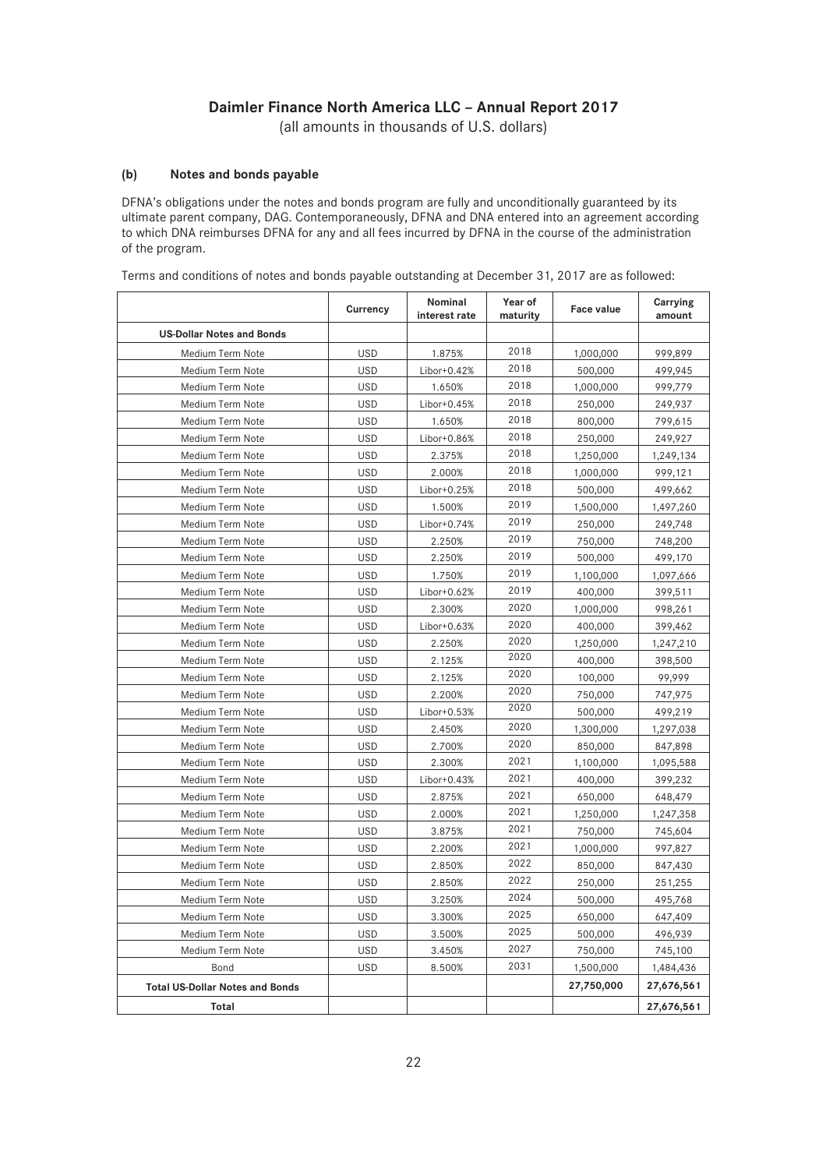(all amounts in thousands of U.S. dollars)

### (b) Notes and bonds payable

DFNA's obligations under the notes and bonds program are fully and unconditionally guaranteed by its ultimate parent company, DAG. Contemporaneously, DFNA and DNA entered into an agreement according to which DNA reimburses DFNA for any and all fees incurred by DFNA in the course of the administration of the program.

|                                        | Currency   | Nominal<br>interest rate | Year of<br>maturity | Face value | Carrying<br>amount |
|----------------------------------------|------------|--------------------------|---------------------|------------|--------------------|
| <b>US-Dollar Notes and Bonds</b>       |            |                          |                     |            |                    |
| Medium Term Note                       | <b>USD</b> | 1.875%                   | 2018                | 1,000,000  | 999,899            |
| Medium Term Note                       | <b>USD</b> | Libor+0.42%              | 2018                | 500,000    | 499,945            |
| Medium Term Note                       | <b>USD</b> | 1.650%                   | 2018                | 1,000,000  | 999,779            |
| Medium Term Note                       | <b>USD</b> | Libor+0.45%              | 2018                | 250,000    | 249,937            |
| Medium Term Note                       | <b>USD</b> | 1.650%                   | 2018                | 800,000    | 799,615            |
| Medium Term Note                       | <b>USD</b> | Libor+0.86%              | 2018                | 250,000    | 249,927            |
| Medium Term Note                       | <b>USD</b> | 2.375%                   | 2018                | 1,250,000  | 1,249,134          |
| Medium Term Note                       | <b>USD</b> | 2.000%                   | 2018                | 1,000,000  | 999,121            |
| Medium Term Note                       | <b>USD</b> | Libor+0.25%              | 2018                | 500,000    | 499,662            |
| Medium Term Note                       | <b>USD</b> | 1.500%                   | 2019                | 1,500,000  | 1,497,260          |
| Medium Term Note                       | <b>USD</b> | Libor+0.74%              | 2019                | 250,000    | 249,748            |
| Medium Term Note                       | <b>USD</b> | 2.250%                   | 2019                | 750,000    | 748,200            |
| Medium Term Note                       | <b>USD</b> | 2.250%                   | 2019                | 500,000    | 499,170            |
| Medium Term Note                       | <b>USD</b> | 1.750%                   | 2019                | 1,100,000  | 1,097,666          |
| Medium Term Note                       | <b>USD</b> | Libor+0.62%              | 2019                | 400,000    | 399,511            |
| Medium Term Note                       | <b>USD</b> | 2.300%                   | 2020                | 1,000,000  | 998,261            |
| Medium Term Note                       | <b>USD</b> | Libor+0.63%              | 2020                | 400,000    | 399,462            |
| Medium Term Note                       | <b>USD</b> | 2.250%                   | 2020                | 1,250,000  | 1,247,210          |
| Medium Term Note                       | <b>USD</b> | 2.125%                   | 2020                | 400,000    | 398,500            |
| Medium Term Note                       | <b>USD</b> | 2.125%                   | 2020                | 100,000    | 99,999             |
| Medium Term Note                       | <b>USD</b> | 2.200%                   | 2020                | 750,000    | 747,975            |
| Medium Term Note                       | <b>USD</b> | Libor+0.53%              | 2020                | 500,000    | 499,219            |
| Medium Term Note                       | <b>USD</b> | 2.450%                   | 2020                | 1,300,000  | 1,297,038          |
| Medium Term Note                       | <b>USD</b> | 2.700%                   | 2020                | 850,000    | 847,898            |
| Medium Term Note                       | <b>USD</b> | 2.300%                   | 2021                | 1,100,000  | 1,095,588          |
| Medium Term Note                       | <b>USD</b> | Libor+0.43%              | 2021                | 400,000    | 399,232            |
| Medium Term Note                       | <b>USD</b> | 2.875%                   | 2021                | 650,000    | 648,479            |
| Medium Term Note                       | <b>USD</b> | 2.000%                   | 2021                | 1,250,000  | 1,247,358          |
| Medium Term Note                       | <b>USD</b> | 3.875%                   | 2021                | 750,000    | 745,604            |
| Medium Term Note                       | <b>USD</b> | 2.200%                   | 2021                | 1,000,000  | 997,827            |
| Medium Term Note                       | <b>USD</b> | 2.850%                   | 2022                | 850,000    | 847,430            |
| Medium Term Note                       | <b>USD</b> | 2.850%                   | 2022                | 250,000    | 251,255            |
| Medium Term Note                       | <b>USD</b> | 3.250%                   | 2024                | 500,000    | 495,768            |
| Medium Term Note                       | <b>USD</b> | 3.300%                   | 2025                | 650,000    | 647,409            |
| Medium Term Note                       | <b>USD</b> | 3.500%                   | 2025                | 500,000    | 496,939            |
| Medium Term Note                       | <b>USD</b> | 3.450%                   | 2027                | 750,000    | 745,100            |
| Bond                                   | <b>USD</b> | 8.500%                   | 2031                | 1,500,000  | 1,484,436          |
| <b>Total US-Dollar Notes and Bonds</b> |            |                          |                     | 27,750,000 | 27,676,561         |
| Total                                  |            |                          |                     |            | 27,676,561         |

Terms and conditions of notes and bonds payable outstanding at December 31, 2017 are as followed: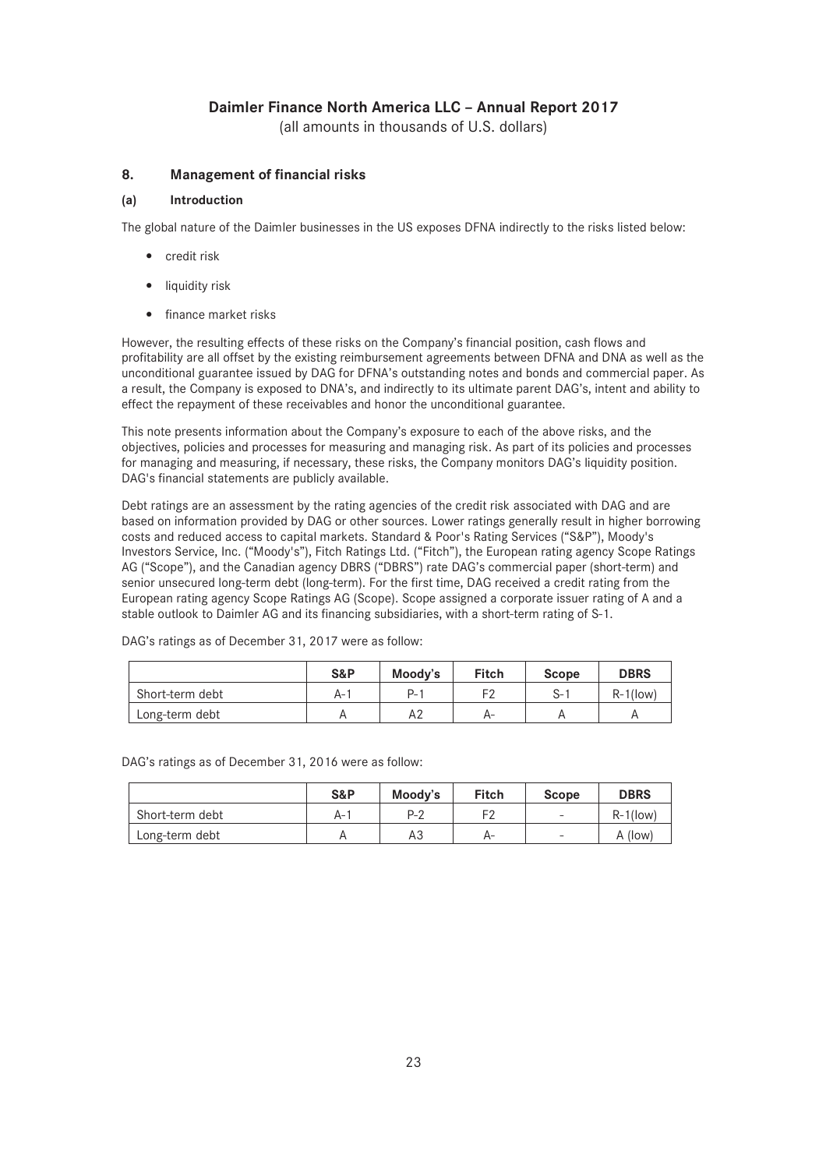(all amounts in thousands of U.S. dollars)

#### 8. **Management of financial risks**

#### $(a)$ Introduction

The global nature of the Daimler businesses in the US exposes DFNA indirectly to the risks listed below:

- credit risk
- · liquidity risk
- finance market risks

However, the resulting effects of these risks on the Company's financial position, cash flows and profitability are all offset by the existing reimbursement agreements between DFNA and DNA as well as the unconditional guarantee issued by DAG for DFNA's outstanding notes and bonds and commercial paper. As a result, the Company is exposed to DNA's, and indirectly to its ultimate parent DAG's, intent and ability to effect the repayment of these receivables and honor the unconditional guarantee.

This note presents information about the Company's exposure to each of the above risks, and the objectives, policies and processes for measuring and managing risk. As part of its policies and processes for managing and measuring, if necessary, these risks, the Company monitors DAG's liquidity position. DAG's financial statements are publicly available.

Debt ratings are an assessment by the rating agencies of the credit risk associated with DAG and are based on information provided by DAG or other sources. Lower ratings generally result in higher borrowing costs and reduced access to capital markets. Standard & Poor's Rating Services ("S&P"), Moody's Investors Service, Inc. ("Moody's"), Fitch Ratings Ltd. ("Fitch"), the European rating agency Scope Ratings AG ("Scope"), and the Canadian agency DBRS ("DBRS") rate DAG's commercial paper (short-term) and senior unsecured long-term debt (long-term). For the first time, DAG received a credit rating from the European rating agency Scope Ratings AG (Scope). Scope assigned a corporate issuer rating of A and a stable outlook to Daimler AG and its financing subsidiaries, with a short-term rating of S-1.

|                 | S&P  | Moody's | <b>Fitch</b> | <b>Scope</b> | <b>DBRS</b> |
|-----------------|------|---------|--------------|--------------|-------------|
| Short-term debt | A- . | $P-1$   | F2           | S-1          | $R-1$ (low) |
| Long-term debt  |      | A2      | А-           |              |             |

DAG's ratings as of December 31, 2017 were as follow:

|  |  | DAG's ratings as of December 31, 2016 were as follow: |
|--|--|-------------------------------------------------------|
|--|--|-------------------------------------------------------|

|                 | S&P | Moody's | <b>Fitch</b> | <b>Scope</b>             | <b>DBRS</b> |
|-----------------|-----|---------|--------------|--------------------------|-------------|
| Short-term debt | A-  | $P-2$   | F2           | $\overline{\phantom{0}}$ | $R-1$ (low) |
| Long-term debt  |     | A3      | A-           |                          | A (low)     |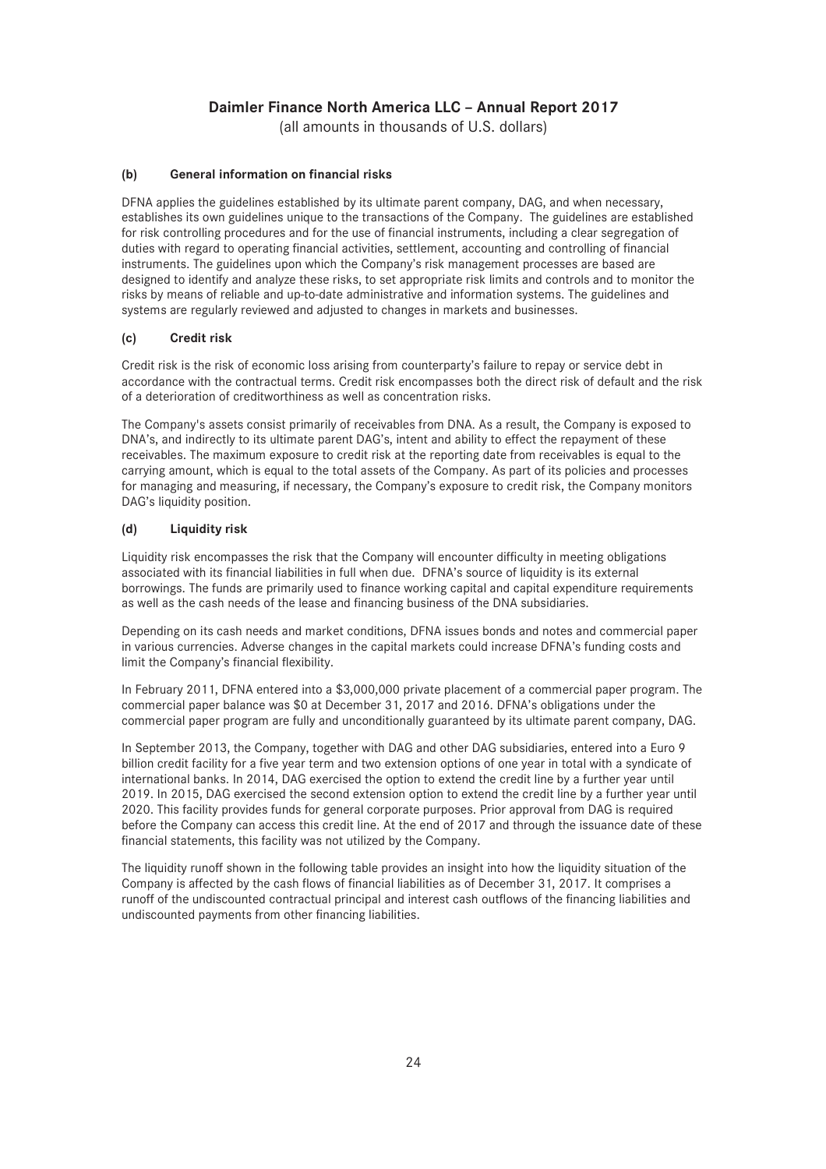(all amounts in thousands of U.S. dollars)

#### $(b)$ General information on financial risks

DFNA applies the guidelines established by its ultimate parent company, DAG, and when necessary, establishes its own guidelines unique to the transactions of the Company. The guidelines are established for risk controlling procedures and for the use of financial instruments, including a clear segregation of duties with regard to operating financial activities, settlement, accounting and controlling of financial instruments. The guidelines upon which the Company's risk management processes are based are designed to identify and analyze these risks, to set appropriate risk limits and controls and to monitor the risks by means of reliable and up-to-date administrative and information systems. The guidelines and systems are regularly reviewed and adjusted to changes in markets and businesses.

#### **Credit risk**  $(c)$

Credit risk is the risk of economic loss arising from counterparty's failure to repay or service debt in accordance with the contractual terms. Credit risk encompasses both the direct risk of default and the risk of a deterioration of creditworthiness as well as concentration risks.

The Company's assets consist primarily of receivables from DNA. As a result, the Company is exposed to DNA's, and indirectly to its ultimate parent DAG's, intent and ability to effect the repayment of these receivables. The maximum exposure to credit risk at the reporting date from receivables is equal to the carrving amount, which is equal to the total assets of the Company. As part of its policies and processes for managing and measuring, if necessary, the Company's exposure to credit risk, the Company monitors DAG's liquidity position.

#### $(d)$ **Liquidity risk**

Liquidity risk encompasses the risk that the Company will encounter difficulty in meeting obligations associated with its financial liabilities in full when due. DFNA's source of liquidity is its external borrowings. The funds are primarily used to finance working capital and capital expenditure requirements as well as the cash needs of the lease and financing business of the DNA subsidiaries.

Depending on its cash needs and market conditions, DFNA issues bonds and notes and commercial paper in various currencies. Adverse changes in the capital markets could increase DFNA's funding costs and limit the Company's financial flexibility.

In February 2011, DFNA entered into a \$3,000,000 private placement of a commercial paper program. The commercial paper balance was \$0 at December 31, 2017 and 2016. DFNA's obligations under the commercial paper program are fully and unconditionally guaranteed by its ultimate parent company, DAG.

In September 2013, the Company, together with DAG and other DAG subsidiaries, entered into a Euro 9 billion credit facility for a five year term and two extension options of one year in total with a syndicate of international banks. In 2014, DAG exercised the option to extend the credit line by a further year until 2019. In 2015, DAG exercised the second extension option to extend the credit line by a further year until 2020. This facility provides funds for general corporate purposes. Prior approval from DAG is required before the Company can access this credit line. At the end of 2017 and through the issuance date of these financial statements, this facility was not utilized by the Company.

The liquidity runoff shown in the following table provides an insight into how the liquidity situation of the Company is affected by the cash flows of financial liabilities as of December 31, 2017. It comprises a runoff of the undiscounted contractual principal and interest cash outflows of the financing liabilities and undiscounted payments from other financing liabilities.